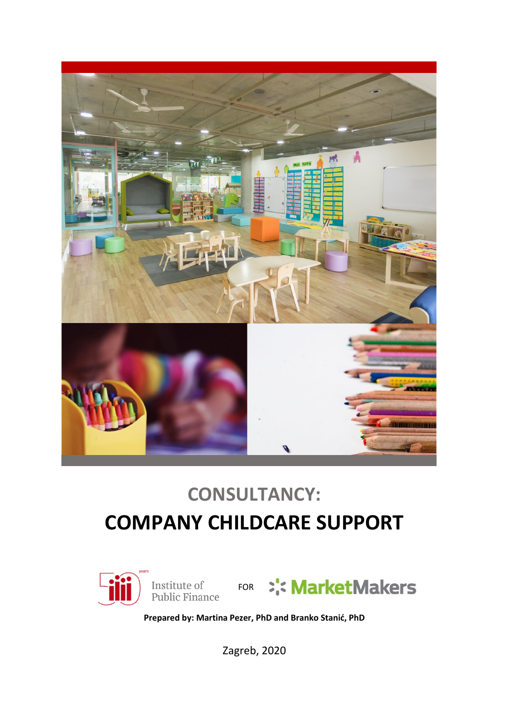

# **CONSULTANCY: COMPANY CHILDCARE SUPPORT**



**Prepared by: Martina Pezer, PhD and Branko Stanić, PhD**

Zagreb, 2020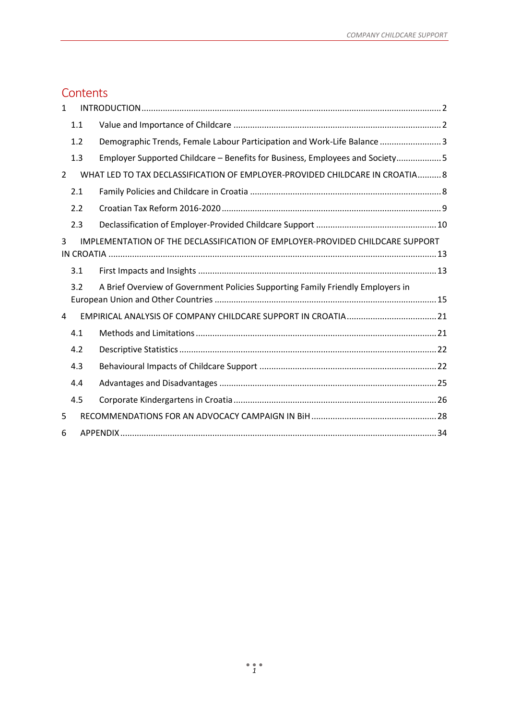# **Contents**

| $\mathbf{1}$   |     |                                                                                 |  |
|----------------|-----|---------------------------------------------------------------------------------|--|
|                | 1.1 |                                                                                 |  |
|                | 1.2 | Demographic Trends, Female Labour Participation and Work-Life Balance 3         |  |
|                | 1.3 | Employer Supported Childcare - Benefits for Business, Employees and Society 5   |  |
| $\overline{2}$ |     | WHAT LED TO TAX DECLASSIFICATION OF EMPLOYER-PROVIDED CHILDCARE IN CROATIA 8    |  |
|                | 2.1 |                                                                                 |  |
|                | 2.2 |                                                                                 |  |
|                | 2.3 |                                                                                 |  |
| 3              |     | IMPLEMENTATION OF THE DECLASSIFICATION OF EMPLOYER-PROVIDED CHILDCARE SUPPORT   |  |
|                | 3.1 |                                                                                 |  |
|                | 3.2 | A Brief Overview of Government Policies Supporting Family Friendly Employers in |  |
| 4              |     |                                                                                 |  |
|                | 4.1 |                                                                                 |  |
|                | 4.2 |                                                                                 |  |
|                | 4.3 |                                                                                 |  |
|                | 4.4 |                                                                                 |  |
|                | 4.5 |                                                                                 |  |
| 5              |     |                                                                                 |  |
| 6              |     |                                                                                 |  |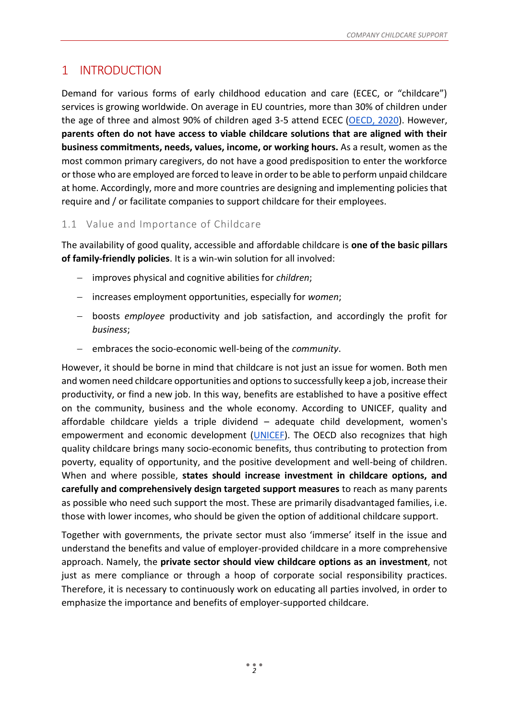# <span id="page-2-1"></span>1 INTRODUCTION

Demand for various forms of early childhood education and care (ECEC, or "childcare") services is growing worldwide. On average in EU countries, more than 30% of children under the age of three and almost 90% of children aged 3-5 attend ECEC [\(OECD, 2020\)](http://www.oecd.org/els/family/database.htm). However, **parents often do not have access to viable childcare solutions that are aligned with their business commitments, needs, values, income, or working hours.** As a result, women as the most common primary caregivers, do not have a good predisposition to enter the workforce or those who are employed are forced to leave in order to be able to perform unpaid childcare at home. Accordingly, more and more countries are designing and implementing policies that require and / or facilitate companies to support childcare for their employees.

## <span id="page-2-0"></span>1.1 Value and Importance of Childcare

The availability of good quality, accessible and affordable childcare is **one of the basic pillars of family-friendly policies**. It is a win-win solution for all involved:

- − improves physical and cognitive abilities for *children*;
- − increases employment opportunities, especially for *women*;
- − boosts *employee* productivity and job satisfaction, and accordingly the profit for *business*;
- − embraces the socio-economic well-being of the *community*.

However, it should be borne in mind that childcare is not just an issue for women. Both men and women need childcare opportunities and options to successfully keep a job, increase their productivity, or find a new job. In this way, benefits are established to have a positive effect on the community, business and the whole economy. According to UNICEF, quality and affordable childcare yields a triple dividend – adequate child development, women's empowerment and economic development [\(UNICEF\)](https://www.unicef.org/sites/default/files/2019-07/UNICEF-Childcare%20-Family-Friendly-Policies-2019.pdf). The OECD also recognizes that high quality childcare brings many socio-economic benefits, thus contributing to protection from poverty, equality of opportunity, and the positive development and well-being of children. When and where possible, **states should increase investment in childcare options, and carefully and comprehensively design targeted support measures** to reach as many parents as possible who need such support the most. These are primarily disadvantaged families, i.e. those with lower incomes, who should be given the option of additional childcare support.

Together with governments, the private sector must also 'immerse' itself in the issue and understand the benefits and value of employer-provided childcare in a more comprehensive approach. Namely, the **private sector should view childcare options as an investment**, not just as mere compliance or through a hoop of corporate social responsibility practices. Therefore, it is necessary to continuously work on educating all parties involved, in order to emphasize the importance and benefits of employer-supported childcare.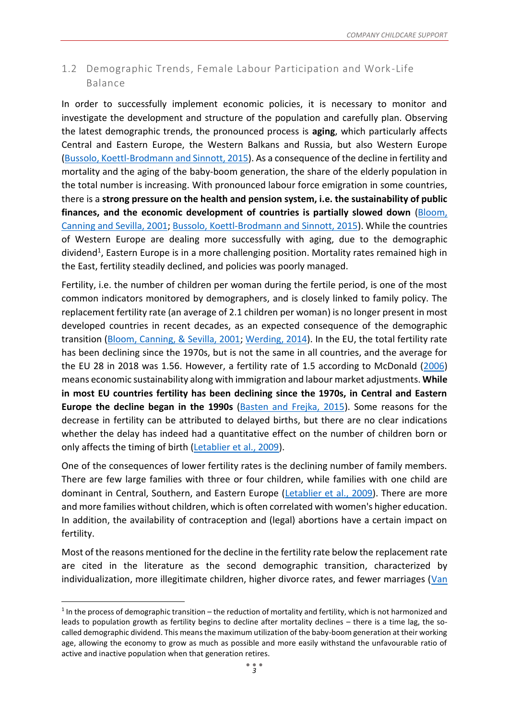## <span id="page-3-0"></span>1.2 Demographic Trends, Female Labour Participation and Work-Life Balance

In order to successfully implement economic policies, it is necessary to monitor and investigate the development and structure of the population and carefully plan. Observing the latest demographic trends, the pronounced process is **aging**, which particularly affects Central and Eastern Europe, the Western Balkans and Russia, but also Western Europe [\(Bussolo, Koettl-Brodmann and Sinnott, 2015\)](https://documents.worldbank.org/en/publication/documents-reports/documentdetail/647461467997250805/golden-aging-prospects-for-healthy-active-and-prosperous-aging-in-europe-and-central-asia). As a consequence of the decline in fertility and mortality and the aging of the baby-boom generation, the share of the elderly population in the total number is increasing. With pronounced labour force emigration in some countries, there is a **strong pressure on the health and pension system, i.e. the sustainability of public finances, and the economic development of countries is partially slowed down** [\(Bloom,](https://www.nber.org/papers/w8685)  [Canning and Sevilla, 2001;](https://www.nber.org/papers/w8685) [Bussolo, Koettl-Brodmann and Sinnott, 2015\)](https://documents.worldbank.org/en/publication/documents-reports/documentdetail/647461467997250805/golden-aging-prospects-for-healthy-active-and-prosperous-aging-in-europe-and-central-asia). While the countries of Western Europe are dealing more successfully with aging, due to the demographic dividend<sup>1</sup>, Eastern Europe is in a more challenging position. Mortality rates remained high in the East, fertility steadily declined, and policies was poorly managed.

Fertility, i.e. the number of children per woman during the fertile period, is one of the most common indicators monitored by demographers, and is closely linked to family policy. The replacement fertility rate (an average of 2.1 children per woman) is no longer present in most developed countries in recent decades, as an expected consequence of the demographic transition [\(Bloom, Canning, & Sevilla, 2001;](https://www.nber.org/papers/w8685) [Werding, 2014\)](https://www.demographic-research.org/volumes/vol30/8/default.htm). In the EU, the total fertility rate has been declining since the 1970s, but is not the same in all countries, and the average for the EU 28 in 2018 was 1.56. However, a fertility rate of 1.5 according to McDonald [\(2006\)](https://www.jstor.org/stable/23025484) means economic sustainability along with immigration and labour market adjustments. **While in most EU countries fertility has been declining since the 1970s, in Central and Eastern Europe the decline began in the 1990s** [\(Basten and Frejka, 2015\)](https://www.comparativepopulationstudies.de/index.php/CPoS/article/view/212). Some reasons for the decrease in fertility can be attributed to delayed births, but there are no clear indications whether the delay has indeed had a quantitative effect on the number of children born or only affects the timing of birth [\(Letablier et al., 2009\)](https://ec.europa.eu/social/BlobServlet?docId=2268&langId=en).

One of the consequences of lower fertility rates is the declining number of family members. There are few large families with three or four children, while families with one child are dominant in Central, Southern, and Eastern Europe [\(Letablier et al., 2009\)](https://ec.europa.eu/social/BlobServlet?docId=2268&langId=en). There are more and more families without children, which is often correlated with women's higher education. In addition, the availability of contraception and (legal) abortions have a certain impact on fertility.

Most of the reasons mentioned for the decline in the fertility rate below the replacement rate are cited in the literature as the second demographic transition, characterized by individualization, more illegitimate children, higher divorce rates, and fewer marriages ( $Van$ 

**.** 

 $1$  In the process of demographic transition – the reduction of mortality and fertility, which is not harmonized and leads to population growth as fertility begins to decline after mortality declines – there is a time lag, the socalled demographic dividend. This means the maximum utilization of the baby-boom generation at their working age, allowing the economy to grow as much as possible and more easily withstand the unfavourable ratio of active and inactive population when that generation retires.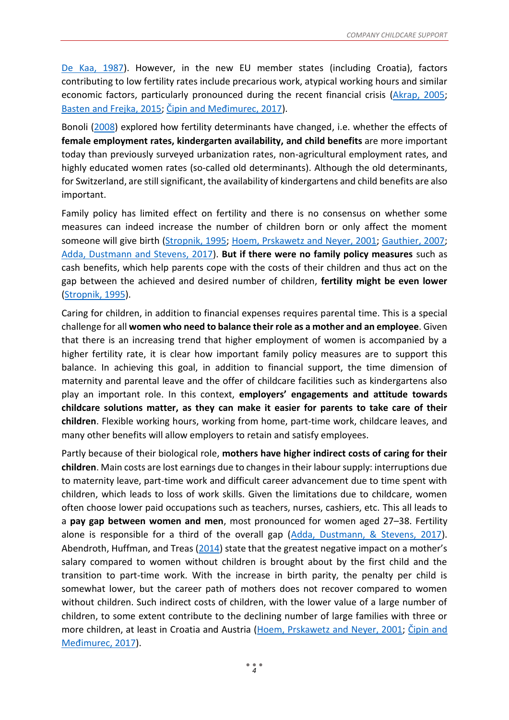[De Kaa, 1987\)](https://estvitalesydemografia.files.wordpress.com/2013/04/europec2b4s-second-demographic-transition.pdf). However, in the new EU member states (including Croatia), factors contributing to low fertility rates include precarious work, atypical working hours and similar economic factors, particularly pronounced during the recent financial crisis [\(Akrap, 2005;](http://www.hcjz.hr/old/clanak.php?id=12441) [Basten and Frejka, 2015;](https://www.comparativepopulationstudies.de/index.php/CPoS/article/view/212) [Čipin and Međimurec, 2017](https://hrcak.srce.hr/192425)).

Bonoli [\(2008\)](https://doi.org/10.1177%2F0958928707081074) explored how fertility determinants have changed, i.e. whether the effects of **female employment rates, kindergarten availability, and child benefits** are more important today than previously surveyed urbanization rates, non-agricultural employment rates, and highly educated women rates (so-called old determinants). Although the old determinants, for Switzerland, are still significant, the availability of kindergartens and child benefits are also important.

Family policy has limited effect on fertility and there is no consensus on whether some measures can indeed increase the number of children born or only affect the moment someone will give birth [\(Stropnik, 1995;](http://www.rsp.hr/ojs2/index.php/rsp/article/view/516) [Hoem, Prskawetz and Neyer, 2001;](https://doi.org/10.1080/00324720127700) [Gauthier, 2007;](https://link.springer.com/article/10.1007/s11113-007-9033-x) [Adda, Dustmann and Stevens, 2017\)](https://www.journals.uchicago.edu/doi/abs/10.1086/690952). **But if there were no family policy measures** such as cash benefits, which help parents cope with the costs of their children and thus act on the gap between the achieved and desired number of children, **fertility might be even lower** [\(Stropnik, 1995\)](http://www.rsp.hr/ojs2/index.php/rsp/article/view/516).

Caring for children, in addition to financial expenses requires parental time. This is a special challenge for all **women who need to balance their role as a mother and an employee**. Given that there is an increasing trend that higher employment of women is accompanied by a higher fertility rate, it is clear how important family policy measures are to support this balance. In achieving this goal, in addition to financial support, the time dimension of maternity and parental leave and the offer of childcare facilities such as kindergartens also play an important role. In this context, **employers' engagements and attitude towards childcare solutions matter, as they can make it easier for parents to take care of their children**. Flexible working hours, working from home, part-time work, childcare leaves, and many other benefits will allow employers to retain and satisfy employees.

Partly because of their biological role, **mothers have higher indirect costs of caring for their children**. Main costs are lost earnings due to changes in their labour supply: interruptions due to maternity leave, part-time work and difficult career advancement due to time spent with children, which leads to loss of work skills. Given the limitations due to childcare, women often choose lower paid occupations such as teachers, nurses, cashiers, etc. This all leads to a **pay gap between women and men**, most pronounced for women aged 27–38. Fertility alone is responsible for a third of the overall gap [\(Adda, Dustmann, & Stevens, 2017\)](https://www.journals.uchicago.edu/doi/abs/10.1086/690952). Abendroth, Huffman, and Treas [\(2014](https://doi.org/10.1177%2F0003122414545986)) state that the greatest negative impact on a mother's salary compared to women without children is brought about by the first child and the transition to part-time work. With the increase in birth parity, the penalty per child is somewhat lower, but the career path of mothers does not recover compared to women without children. Such indirect costs of children, with the lower value of a large number of children, to some extent contribute to the declining number of large families with three or more children, at least in Croatia and Austria [\(Hoem, Prskawetz and Neyer, 2001;](https://doi.org/10.1080/00324720127700) [Čipin and](https://hrcak.srce.hr/192425)  [Međimurec, 2017](https://hrcak.srce.hr/192425)).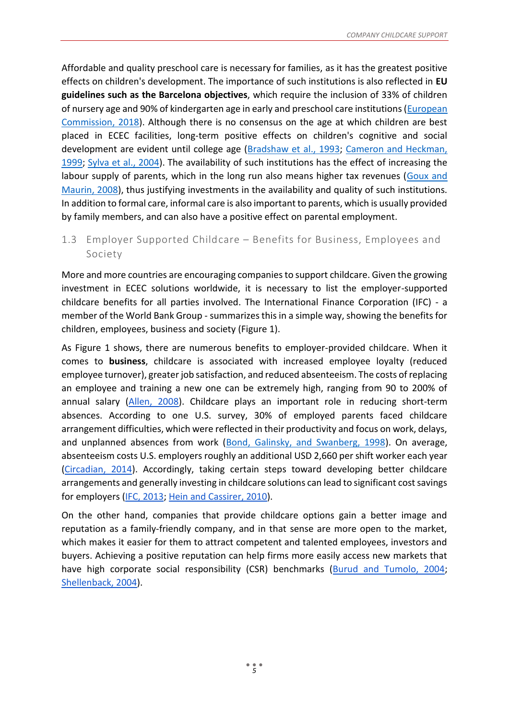Affordable and quality preschool care is necessary for families, as it has the greatest positive effects on children's development. The importance of such institutions is also reflected in **EU guidelines such as the Barcelona objectives**, which require the inclusion of 33% of children of nursery age and 90% of kindergarten age in early and preschool care institutions [\(European](https://ec.europa.eu/info/sites/info/files/bcn_objectives-report2018_web_en.pdf)  [Commission, 2018\)](https://ec.europa.eu/info/sites/info/files/bcn_objectives-report2018_web_en.pdf). Although there is no consensus on the age at which children are best placed in ECEC facilities, long-term positive effects on children's cognitive and social development are evident until college age [\(Bradshaw et al., 1993;](http://journals.sagepub.com/doi/10.1177/095892879300300402) [Cameron and Heckman,](http://www.nber.org/papers/w7249)  [1999;](http://www.nber.org/papers/w7249) [Sylva et al., 2004\)](http://discovery.ucl.ac.uk/10005308/1/EPPE12Sylva2004Effective.pdf). The availability of such institutions has the effect of increasing the labour supply of parents, which in the long run also means higher tax revenues (Goux and [Maurin, 2008\)](http://www.cepremap.fr/depot/docweb/docweb0807_en.pdf), thus justifying investments in the availability and quality of such institutions. In addition to formal care, informal care is also important to parents, which is usually provided by family members, and can also have a positive effect on parental employment.

## <span id="page-5-0"></span>1.3 Employer Supported Childcare – Benefits for Business, Employees and Society

More and more countries are encouraging companies to support childcare. Given the growing investment in ECEC solutions worldwide, it is necessary to list the employer-supported childcare benefits for all parties involved. The International Finance Corporation (IFC) - a member of the World Bank Group - summarizes this in a simple way, showing the benefits for children, employees, business and society (Figure 1).

As Figure 1 shows, there are numerous benefits to employer-provided childcare. When it comes to **business**, childcare is associated with increased employee loyalty (reduced employee turnover), greater job satisfaction, and reduced absenteeism. The costs of replacing an employee and training a new one can be extremely high, ranging from 90 to 200% of annual salary [\(Allen, 2008\)](https://www.shrm.org/hr-today/trends-and-forecasting/special-reports-and-expert-views/Documents/Retaining-Talent.pdf). Childcare plays an important role in reducing short-term absences. According to one U.S. survey, 30% of employed parents faced childcare arrangement difficulties, which were reflected in their productivity and focus on work, delays, and unplanned absences from work [\(Bond, Galinsky, and Swanberg, 1998\)](https://link.springer.com/article/10.1023/A:1016630229628). On average, absenteeism costs U.S. employers roughly an additional USD 2,660 per shift worker each year [\(Circadian, 2014\)](https://www.circadian.com/blog/item/43-shift-work-absenteeism-the-bottom-line-killer.html). Accordingly, taking certain steps toward developing better childcare arrangements and generally investing in childcare solutions can lead to significant cost savings for employers [\(IFC, 2013](https://ppp.worldbank.org/public-private-partnership/sites/ppp.worldbank.org/files/documents/Global_InvestinginWomensEmployment.pdf)[;](https://www.ilo.org/wcmsp5/groups/public/@dgreports/@dcomm/@publ/documents/publication/wcms_110397.pdf) [Hein and Cassirer, 2010\)](https://www.ilo.org/wcmsp5/groups/public/@dgreports/@dcomm/@publ/documents/publication/wcms_110397.pdf).

On the other hand, companies that provide childcare options gain a better image and reputation as a family-friendly company, and in that sense are more open to the market, which makes it easier for them to attract competent and talented employees, investors and buyers. Achieving a positive reputation can help firms more easily access new markets that have high corporate social responsibility (CSR) benchmarks [\(Burud and Tumolo, 2004](https://www.jstor.org/stable/4166189?seq=1)[;](http://s3.amazonaws.com/mildredwarner.org/attachments/000/000/074/original/154-21008542.pdf) [Shellenback, 2004\)](http://s3.amazonaws.com/mildredwarner.org/attachments/000/000/074/original/154-21008542.pdf).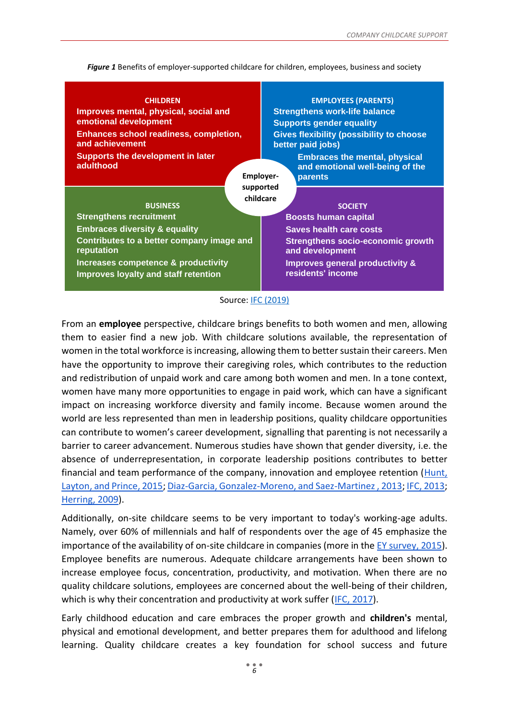*Figure 1* Benefits of employer-supported childcare for children, employees, business and society

| <b>CHILDREN</b>                                                             | <b>EMPLOYEES (PARENTS)</b>                                                                              |  |
|-----------------------------------------------------------------------------|---------------------------------------------------------------------------------------------------------|--|
| Improves mental, physical, social and                                       | <b>Strengthens work-life balance</b>                                                                    |  |
| emotional development                                                       | <b>Supports gender equality</b><br><b>Gives flexibility (possibility to choose</b><br>better paid jobs) |  |
| <b>Enhances school readiness, completion,</b>                               |                                                                                                         |  |
| and achievement                                                             |                                                                                                         |  |
| <b>Supports the development in later</b>                                    | <b>Embraces the mental, physical</b>                                                                    |  |
| adulthood                                                                   | and emotional well-being of the                                                                         |  |
|                                                                             | <b>Employer-</b><br>parents                                                                             |  |
|                                                                             | supported                                                                                               |  |
| <b>BUSINESS</b>                                                             | childcare<br><b>SOCIETY</b>                                                                             |  |
| <b>Strengthens recruitment</b>                                              | <b>Boosts human capital</b>                                                                             |  |
| <b>Embraces diversity &amp; equality</b>                                    | <b>Saves health care costs</b>                                                                          |  |
| Contributes to a better company image and<br>reputation                     | <b>Strengthens socio-economic growth</b><br>and development                                             |  |
| Increases competence & productivity<br>Improves loyalty and staff retention | Improves general productivity &<br>residents' income                                                    |  |
|                                                                             |                                                                                                         |  |

#### Source: IFC [\(2019\)](https://www.ifc.org/wps/wcm/connect/topics_ext_content/ifc_external_corporate_site/gender+at+ifc/resources/guide+for+employer-supported+childcare)

From an **employee** perspective, childcare brings benefits to both women and men, allowing them to easier find a new job. With childcare solutions available, the representation of women in the total workforce is increasing, allowing them to better sustain their careers. Men have the opportunity to improve their caregiving roles, which contributes to the reduction and redistribution of unpaid work and care among both women and men. In a tone context, women have many more opportunities to engage in paid work, which can have a significant impact on increasing workforce diversity and family income. Because women around the world are less represented than men in leadership positions, quality childcare opportunities can contribute to women's career development, signalling that parenting is not necessarily a barrier to career advancement. Numerous studies have shown that gender diversity, i.e. the absence of underrepresentation, in corporate leadership positions contributes to better financial and team performance of the company, innovation and employee retention (Hunt, [Layton, and Prince, 2015](https://www.mckinsey.com/business-functions/organization/our-insights/why-diversity-matters)[;](https://www.tandfonline.com/doi/abs/10.5172/impp.2013.15.2.149) [Diaz-Garcia, Gonzalez-Moreno, and Saez-Martinez , 2013](https://www.tandfonline.com/doi/abs/10.5172/impp.2013.15.2.149)[;](https://ppp.worldbank.org/public-private-partnership/sites/ppp.worldbank.org/files/documents/Global_InvestinginWomensEmployment.pdf) [IFC, 2013](https://ppp.worldbank.org/public-private-partnership/sites/ppp.worldbank.org/files/documents/Global_InvestinginWomensEmployment.pdf)[;](https://journals.sagepub.com/doi/abs/10.1177/000312240907400203) [Herring, 2009\)](https://journals.sagepub.com/doi/abs/10.1177/000312240907400203).

Additionally, on-site childcare seems to be very important to today's working-age adults. Namely, over 60% of millennials and half of respondents over the age of 45 emphasize the importance of the availability of on-site childcare in companies (more in th[e](https://www.ey.com/Publication/vwLUAssets/Global_generations_study/$FILE/EY-global-generations-a-global-study-on-work-life-challenges-across-generations.pdf) [EY survey, 2015\)](https://www.ey.com/Publication/vwLUAssets/Global_generations_study/$FILE/EY-global-generations-a-global-study-on-work-life-challenges-across-generations.pdf). Employee benefits are numerous. Adequate childcare arrangements have been shown to increase employee focus, concentration, productivity, and motivation. When there are no quality childcare solutions, employees are concerned about the well-being of their children, which is why their concentration and productivity at work suffer [\(IFC, 2017\)](https://www.ifc.org/wps/wcm/connect/cd79e230-3ee2-46ae-adc5-e54d3d649f31/01817+WB+Childcare+Report_FinalWeb3.pdf?MOD=AJPERES&CVID=lXu9vP-).

Early childhood education and care embraces the proper growth and **children's** mental, physical and emotional development, and better prepares them for adulthood and lifelong learning. Quality childcare creates a key foundation for school success and future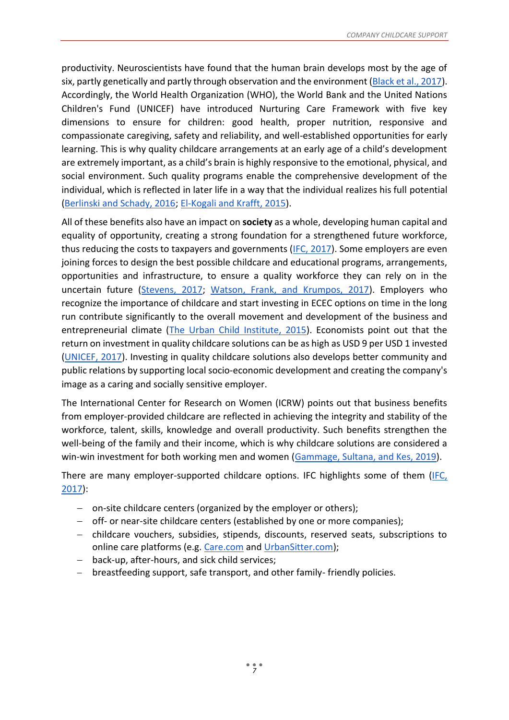productivity. Neuroscientists have found that the human brain develops most by the age of six, partly genetically and partly through observation and the environment [\(Black et al., 2017\)](https://www.thelancet.com/journals/lancet/article/PIIS0140-6736(16)31389-7/fulltext). Accordingly, the World Health Organization (WHO), the World Bank and the United Nations Children's Fund (UNICEF) have introduced Nurturing Care Framework with five key dimensions to ensure for children: good health, proper nutrition, responsive and compassionate caregiving, safety and reliability, and well-established opportunities for early learning. This is why quality childcare arrangements at an early age of a child's development are extremely important, as a child's brain is highly responsive to the emotional, physical, and social environment. Such quality programs enable the comprehensive development of the individual, which is reflected in later life in a way that the individual realizes his full potential [\(Berlinski and Schady, 2016](https://publications.iadb.org/en/early-years-child-well-being-and-role-public-policy)[;](https://documents.worldbank.org/en/publication/documents-reports/documentdetail/876341468282254381/expanding-opportunities-for-the-next-generation-early-childhood-development-in-the-middle-east-and-north-africa) [El-Kogali and Krafft, 2015\)](https://documents.worldbank.org/en/publication/documents-reports/documentdetail/876341468282254381/expanding-opportunities-for-the-next-generation-early-childhood-development-in-the-middle-east-and-north-africa).

All of these benefits also have an impact on **society** as a whole, developing human capital and equality of opportunity, creating a strong foundation for a strengthened future workforce, thus reducing the costs to taxpayers and governments [\(IFC, 2017\)](https://www.ifc.org/wps/wcm/connect/da7fbf72-e4d9-4334-955f-671a104877a7/201911-A-guide-for-employer-supported-childcare.pdf?MOD=AJPERES&CVID=mVHadh3). Some employers are even joining forces to design the best possible childcare and educational programs, arrangements, opportunities and infrastructure, to ensure a quality workforce they can rely on in the uncertain future [\(Stevens, 2017;](https://www.uschamberfoundation.org/sites/default/files/Workforce%20of%20Today%20Workforce%20of%20Tomorrow%20Report.pdf) [Watson, Frank, and Krumpos, 2017\)](https://www.readynationinternational.org/documents/5). Employers who recognize the importance of childcare and start investing in ECEC options on time in the long run contribute significantly to the overall movement and development of the business and entrepreneurial climate [\(The Urban Child Institute, 2015\)](http://www.urbanchildinstitute.org/articles/features/investments-in-early-childhood-benefit-our-entire-community). Economists point out that the return on investment in quality childcare solutions can be as high as USD 9 per USD 1 invested [\(UNICEF, 2017\)](https://www.unicef.org/publications/index_100862.html). Investing in quality childcare solutions also develops better community and public relations by supporting local socio-economic development and creating the company's image as a caring and socially sensitive employer.

The International Center for Research on Women (ICRW) points out that business benefits from employer-provided childcare are reflected in achieving the integrity and stability of the workforce, talent, skills, knowledge and overall productivity. Such benefits strengthen the well-being of the family and their income, which is why childcare solutions are considered a win-win investment for both working men and women [\(Gammage, Sultana, and Kes, 2019\)](https://www.ebrd.com/cs/Satellite?c=Content&cid=1395282416998&pagename=EBRD%2FContent%2FDownloadDocument).

There are many employer-supported childcare options. IFC highlights some of them [\(IFC,](https://www.ifc.org/wps/wcm/connect/da7fbf72-e4d9-4334-955f-671a104877a7/201911-A-guide-for-employer-supported-childcare.pdf?MOD=AJPERES&CVID=mVHadh3)  [2017\)](https://www.ifc.org/wps/wcm/connect/da7fbf72-e4d9-4334-955f-671a104877a7/201911-A-guide-for-employer-supported-childcare.pdf?MOD=AJPERES&CVID=mVHadh3):

- − on-site childcare centers (organized by the employer or others);
- − off- or near-site childcare centers (established by one or more companies);
- − childcare vouchers, subsidies, stipends, discounts, reserved seats, subscriptions to online care platforms (e.g. [Care.com](https://www.care.com/) an[d](https://www.urbansitter.com/) [UrbanSitter.com\)](https://www.urbansitter.com/);
- − back-up, after-hours, and sick child services;
- − breastfeeding support, safe transport, and other family- friendly policies.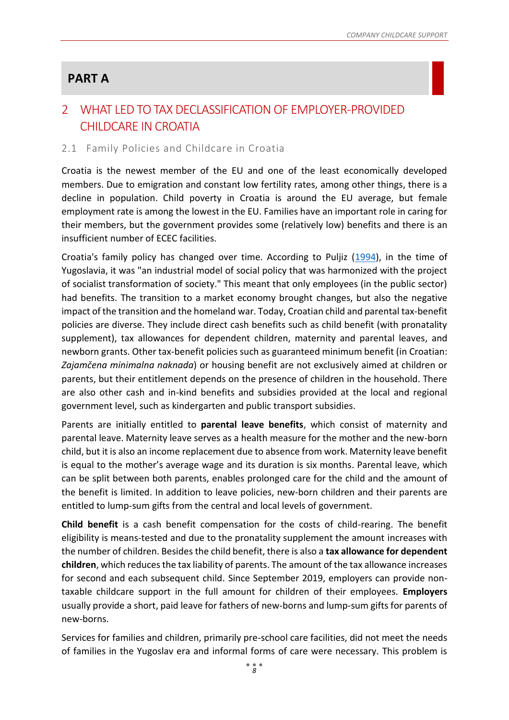# **PART A**

# <span id="page-8-1"></span>2 WHAT LED TO TAX DECLASSIFICATION OF EMPLOYER-PROVIDED CHILDCARE IN CROATIA

#### <span id="page-8-0"></span>2.1 Family Policies and Childcare in Croatia

Croatia is the newest member of the EU and one of the least economically developed members. Due to emigration and constant low fertility rates, among other things, there is a decline in population. Child poverty in Croatia is around the EU average, but female employment rate is among the lowest in the EU. Families have an important role in caring for their members, but the government provides some (relatively low) benefits and there is an insufficient number of ECEC facilities.

Croatia's family policy has changed over time. According to Puljiz [\(1994\)](http://www.rsp.hr/ojs2/index.php/rsp/article/view/580), in the time of Yugoslavia, it was "an industrial model of social policy that was harmonized with the project of socialist transformation of society." This meant that only employees (in the public sector) had benefits. The transition to a market economy brought changes, but also the negative impact of the transition and the homeland war. Today, Croatian child and parental tax-benefit policies are diverse. They include direct cash benefits such as child benefit (with pronatality supplement), tax allowances for dependent children, maternity and parental leaves, and newborn grants. Other tax-benefit policies such as guaranteed minimum benefit (in Croatian: *Zajamčena minimalna naknada*) or housing benefit are not exclusively aimed at children or parents, but their entitlement depends on the presence of children in the household. There are also other cash and in-kind benefits and subsidies provided at the local and regional government level, such as kindergarten and public transport subsidies.

Parents are initially entitled to **parental leave benefits**, which consist of maternity and parental leave. Maternity leave serves as a health measure for the mother and the new-born child, but it is also an income replacement due to absence from work. Maternity leave benefit is equal to the mother's average wage and its duration is six months. Parental leave, which can be split between both parents, enables prolonged care for the child and the amount of the benefit is limited. In addition to leave policies, new-born children and their parents are entitled to lump-sum gifts from the central and local levels of government.

**Child benefit** is a cash benefit compensation for the costs of child-rearing. The benefit eligibility is means-tested and due to the pronatality supplement the amount increases with the number of children. Besides the child benefit, there is also a **tax allowance for dependent children**, which reduces the tax liability of parents. The amount of the tax allowance increases for second and each subsequent child. Since September 2019, employers can provide nontaxable childcare support in the full amount for children of their employees. **Employers** usually provide a short, paid leave for fathers of new-borns and lump-sum gifts for parents of new-borns.

Services for families and children, primarily pre-school care facilities, did not meet the needs of families in the Yugoslav era and informal forms of care were necessary. This problem is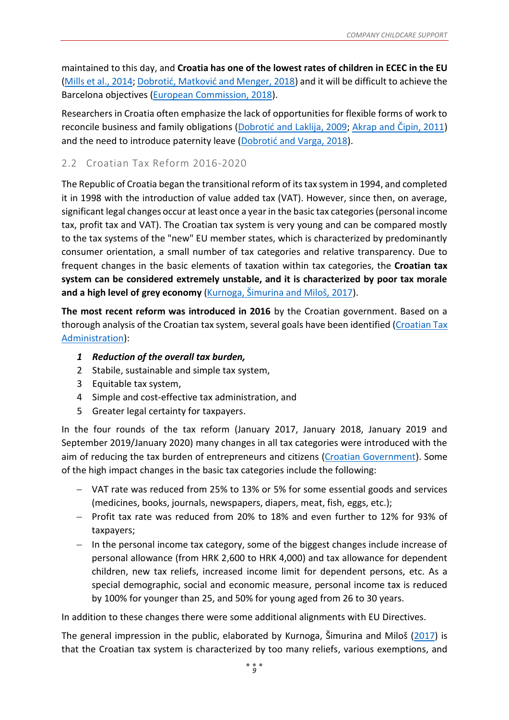maintained to this day, and **Croatia has one of the lowest rates of children in ECEC in the EU** [\(Mills et al., 2014;](http://ec.europa.eu/justice/gender-equality/files/documents/140502_gender_equality_workforce_ssr3_en.pdf) [Dobrotić, Matković and Menger, 2018](https://www.bib.irb.hr/945345)) and it will be difficult to achieve the Barcelona objectives [\(European Commission, 2018\)](https://ec.europa.eu/info/sites/info/files/bcn_objectives-report2018_web_en.pdf).

Researchers in Croatia often emphasize the lack of opportunities for flexible forms of work to reconcile business and family obligations ([Dobrotić and Laklija](http://www.rsp.hr/ojs2/index.php/rsp/article/view/799)[, 2009;](http://www.rsp.hr/ojs2/index.php/rsp/article/view/799) [Akrap and Čipin, 2011](http://hrcak.srce.hr/index.php?show=clanak&id_clanak_jezik=97825)) and the need to introduce paternity leave ([Dobrotić and Varga, 2018](https://hrcak.srce.hr/206936)).

## <span id="page-9-0"></span>2.2 Croatian Tax Reform 2016-2020

The Republic of Croatia began the transitional reform of its tax system in 1994, and completed it in 1998 with the introduction of value added tax (VAT). However, since then, on average, significant legal changes occur at least once a year in the basic tax categories(personal income tax, profit tax and VAT). The Croatian tax system is very young and can be compared mostly to the tax systems of the "new" EU member states, which is characterized by predominantly consumer orientation, a small number of tax categories and relative transparency. Due to frequent changes in the basic elements of taxation within tax categories, the **Croatian tax system can be considered extremely unstable, and it is characterized by poor tax morale and a high level of grey economy** ([Kurnoga, Šimurina and Miloš, 2017](https://www.researchgate.net/profile/Nika_Simurina/publication/320281764_ANALIZA_ODNOSA_POREZNIH_REFORMI_I_GOSPODARSKOG_RASTA_REPUBLIKE_HRVATSKE/links/59db3d1aaca27252f0390743/ANALIZA-ODNOSA-POREZNIH-REFORMI-I-GOSPODARSKOG-RASTA-REPUBLIKE-HRVATSKE.pdf)).

**The most recent reform was introduced in 2016** by the Croatian government. Based on a thorough analysis of the Croatian tax system, several goals have been identified [\(Croatian Tax](https://www.porezna-uprava.hr/Dokumenti%20vijesti/Porezna%20reforma%204.%20krug%2031%2010%202019.pdf)  [Administration\)](https://www.porezna-uprava.hr/Dokumenti%20vijesti/Porezna%20reforma%204.%20krug%2031%2010%202019.pdf):

- *1 Reduction of the overall tax burden,*
- 2 Stabile, sustainable and simple tax system,
- 3 Equitable tax system,
- 4 Simple and cost-effective tax administration, and
- 5 Greater legal certainty for taxpayers.

In the four rounds of the tax reform (January 2017, January 2018, January 2019 and September 2019/January 2020) many changes in all tax categories were introduced with the aim of reducing the tax burden of entrepreneurs and citizens [\(Croatian Government\)](https://vlada.gov.hr/UserDocsImages/Vijesti/2019/07%20srpanj/26%20srpnja/4%20krug%20poreznog%20rasterec%CC%81enja%20-%20prez%2026072019.%20%20ppt.pdf). Some of the high impact changes in the basic tax categories include the following:

- − VAT rate was reduced from 25% to 13% or 5% for some essential goods and services (medicines, books, journals, newspapers, diapers, meat, fish, eggs, etc.);
- − Profit tax rate was reduced from 20% to 18% and even further to 12% for 93% of taxpayers;
- − In the personal income tax category, some of the biggest changes include increase of personal allowance (from HRK 2,600 to HRK 4,000) and tax allowance for dependent children, new tax reliefs, increased income limit for dependent persons, etc. As a special demographic, social and economic measure, personal income tax is reduced by 100% for younger than 25, and 50% for young aged from 26 to 30 years.

In addition to these changes there were some additional alignments with EU Directives.

The general impression in the public, elaborated by Kurnoga, Šimurina and Miloš ([2017\)](https://www.researchgate.net/profile/Nika_Simurina/publication/320281764_ANALIZA_ODNOSA_POREZNIH_REFORMI_I_GOSPODARSKOG_RASTA_REPUBLIKE_HRVATSKE/links/59db3d1aaca27252f0390743/ANALIZA-ODNOSA-POREZNIH-REFORMI-I-GOSPODARSKOG-RASTA-REPUBLIKE-HRVATSKE.pdf) is that the Croatian tax system is characterized by too many reliefs, various exemptions, and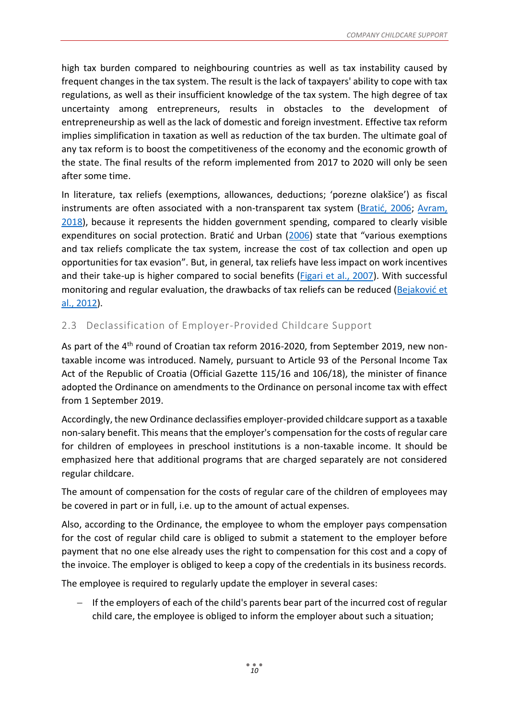high tax burden compared to neighbouring countries as well as tax instability caused by frequent changes in the tax system. The result is the lack of taxpayers' ability to cope with tax regulations, as well as their insufficient knowledge of the tax system. The high degree of tax uncertainty among entrepreneurs, results in obstacles to the development of entrepreneurship as well as the lack of domestic and foreign investment. Effective tax reform implies simplification in taxation as well as reduction of the tax burden. The ultimate goal of any tax reform is to boost the competitiveness of the economy and the economic growth of the state. The final results of the reform implemented from 2017 to 2020 will only be seen after some time.

In literature, tax reliefs (exemptions, allowances, deductions; 'porezne olakšice') as fiscal instruments are often associated with a non-transparent tax system ([Bratić, 2006](https://hrcak.srce.hr/5247); [Avram,](https://journals.sagepub.com/doi/10.1177/0958928717735061)  [2018\)](https://journals.sagepub.com/doi/10.1177/0958928717735061), because it represents the hidden government spending, compared to clearly visible expenditures on social protection. Bratić and Urban ([2006](https://hrcak.srce.hr/5248)) state that "various exemptions and tax reliefs complicate the tax system, increase the cost of tax collection and open up opportunities for tax evasion". But, in general, tax reliefs have less impact on work incentives and their take-up is higher compared to social benefits [\(Figari et al., 2007\)](https://www.researchgate.net/publication/242478418_Supporting_Families_with_Children_through_Taxes_and_Benefits). With successful monitoring and regular evaluation, the drawbacks of tax reliefs can be reduced ([Bejaković](https://bib.irb.hr/datoteka/614162.33.pdf) et [al., 2012\)](https://bib.irb.hr/datoteka/614162.33.pdf).

## <span id="page-10-0"></span>2.3 Declassification of Employer-Provided Childcare Support

As part of the 4<sup>th</sup> round of Croatian tax reform 2016-2020, from September 2019, new nontaxable income was introduced. Namely, pursuant to Article 93 of the Personal Income Tax Act of the Republic of Croatia (Official Gazette 115/16 and 106/18), the minister of finance adopted the Ordinance on amendments to the Ordinance on personal income tax with effect from 1 September 2019.

Accordingly, the new Ordinance declassifies employer-provided childcare support as a taxable non-salary benefit. This means that the employer's compensation for the costs of regular care for children of employees in preschool institutions is a non-taxable income. It should be emphasized here that additional programs that are charged separately are not considered regular childcare.

The amount of compensation for the costs of regular care of the children of employees may be covered in part or in full, i.e. up to the amount of actual expenses.

Also, according to the Ordinance, the employee to whom the employer pays compensation for the cost of regular child care is obliged to submit a statement to the employer before payment that no one else already uses the right to compensation for this cost and a copy of the invoice. The employer is obliged to keep a copy of the credentials in its business records.

The employee is required to regularly update the employer in several cases:

If the employers of each of the child's parents bear part of the incurred cost of regular child care, the employee is obliged to inform the employer about such a situation;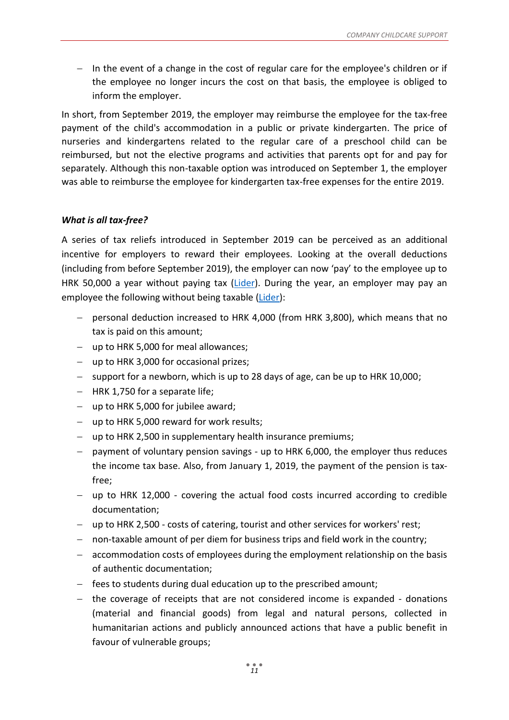− In the event of a change in the cost of regular care for the employee's children or if the employee no longer incurs the cost on that basis, the employee is obliged to inform the employer.

In short, from September 2019, the employer may reimburse the employee for the tax-free payment of the child's accommodation in a public or private kindergarten. The price of nurseries and kindergartens related to the regular care of a preschool child can be reimbursed, but not the elective programs and activities that parents opt for and pay for separately. Although this non-taxable option was introduced on September 1, the employer was able to reimburse the employee for kindergarten tax-free expenses for the entire 2019.

#### *What is all tax-free?*

A series of tax reliefs introduced in September 2019 can be perceived as an additional incentive for employers to reward their employees. Looking at the overall deductions (including from before September 2019), the employer can now 'pay' to the employee up to HRK 50,000 a year without paying tax [\(Lider\)](https://lider.media/sto-i-kako/sto-je-sve-neoporezivo-poslodavac-radaniku-moze-godisnje-isplatiti-i-35-000-kuna-a-da-se-na-to-ne-plati-porez-129756). During the year, an employer may pay an employee the following without being taxable [\(Lider\)](https://lider.media/sto-i-kako/sto-je-sve-neoporezivo-poslodavac-radaniku-moze-godisnje-isplatiti-i-35-000-kuna-a-da-se-na-to-ne-plati-porez-129756):

- − personal deduction increased to HRK 4,000 (from HRK 3,800), which means that no tax is paid on this amount;
- − up to HRK 5,000 for meal allowances;
- − up to HRK 3,000 for occasional prizes;
- − support for a newborn, which is up to 28 days of age, can be up to HRK 10,000;
- − HRK 1,750 for a separate life;
- − up to HRK 5,000 for jubilee award;
- − up to HRK 5,000 reward for work results;
- − up to HRK 2,500 in supplementary health insurance premiums;
- − payment of voluntary pension savings up to HRK 6,000, the employer thus reduces the income tax base. Also, from January 1, 2019, the payment of the pension is taxfree;
- − up to HRK 12,000 covering the actual food costs incurred according to credible documentation;
- − up to HRK 2,500 costs of catering, tourist and other services for workers' rest;
- − non-taxable amount of per diem for business trips and field work in the country;
- − accommodation costs of employees during the employment relationship on the basis of authentic documentation;
- − fees to students during dual education up to the prescribed amount;
- − the coverage of receipts that are not considered income is expanded donations (material and financial goods) from legal and natural persons, collected in humanitarian actions and publicly announced actions that have a public benefit in favour of vulnerable groups;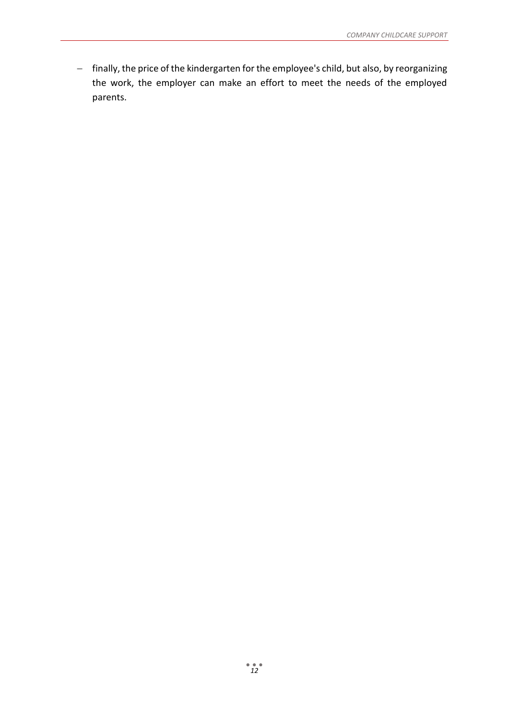− finally, the price of the kindergarten for the employee's child, but also, by reorganizing the work, the employer can make an effort to meet the needs of the employed parents.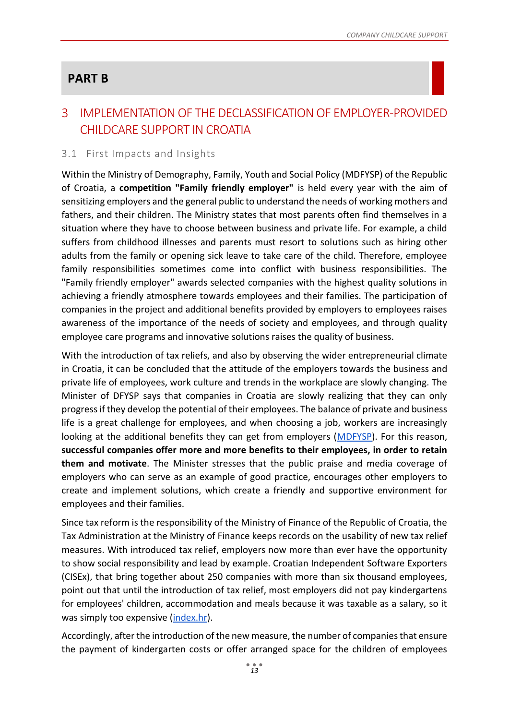# **PART B**

# <span id="page-13-0"></span>3 IMPLEMENTATION OF THE DECLASSIFICATION OF EMPLOYER-PROVIDED CHILDCARE SUPPORT IN CROATIA

## <span id="page-13-1"></span>3.1 First Impacts and Insights

Within the Ministry of Demography, Family, Youth and Social Policy (MDFYSP) of the Republic of Croatia, a **competition "Family friendly employer"** is held every year with the aim of sensitizing employers and the general public to understand the needs of working mothers and fathers, and their children. The Ministry states that most parents often find themselves in a situation where they have to choose between business and private life. For example, a child suffers from childhood illnesses and parents must resort to solutions such as hiring other adults from the family or opening sick leave to take care of the child. Therefore, employee family responsibilities sometimes come into conflict with business responsibilities. The "Family friendly employer" awards selected companies with the highest quality solutions in achieving a friendly atmosphere towards employees and their families. The participation of companies in the project and additional benefits provided by employers to employees raises awareness of the importance of the needs of society and employees, and through quality employee care programs and innovative solutions raises the quality of business.

With the introduction of tax reliefs, and also by observing the wider entrepreneurial climate in Croatia, it can be concluded that the attitude of the employers towards the business and private life of employees, work culture and trends in the workplace are slowly changing. The Minister of DFYSP says that companies in Croatia are slowly realizing that they can only progress if they develop the potential of their employees. The balance of private and business life is a great challenge for employees, and when choosing a job, workers are increasingly looking at the additional benefits they can get from employers [\(MDFYSP\)](https://mdomsp.gov.hr/vijesti-8/intervju-s-ministricom-bedekovic-uz-kvalitetnog-poslodavca-roditelj-moze-uspjesno-balansirati-izmedju-obiteljskih-obveza-i-zahtjevnog-trzista-rada/12449). For this reason, **successful companies offer more and more benefits to their employees, in order to retain them and motivate**. The Minister stresses that the public praise and media coverage of employers who can serve as an example of good practice, encourages other employers to create and implement solutions, which create a friendly and supportive environment for employees and their families.

Since tax reform is the responsibility of the Ministry of Finance of the Republic of Croatia, the Tax Administration at the Ministry of Finance keeps records on the usability of new tax relief measures. With introduced tax relief, employers now more than ever have the opportunity to show social responsibility and lead by example. Croatian Independent Software Exporters (CISEx), that bring together about 250 companies with more than six thousand employees, point out that until the introduction of tax relief, most employers did not pay kindergartens for employees' children, accommodation and meals because it was taxable as a salary, so it was simply too expensive [\(index.hr\)](https://www.index.hr/vijesti/clanak/pitali-smo-poslodavce-sto-misle-o-placanju-toplog-obroka-i-vrtica-radnicima/2113150.aspx).

Accordingly, after the introduction of the new measure, the number of companies that ensure the payment of kindergarten costs or offer arranged space for the children of employees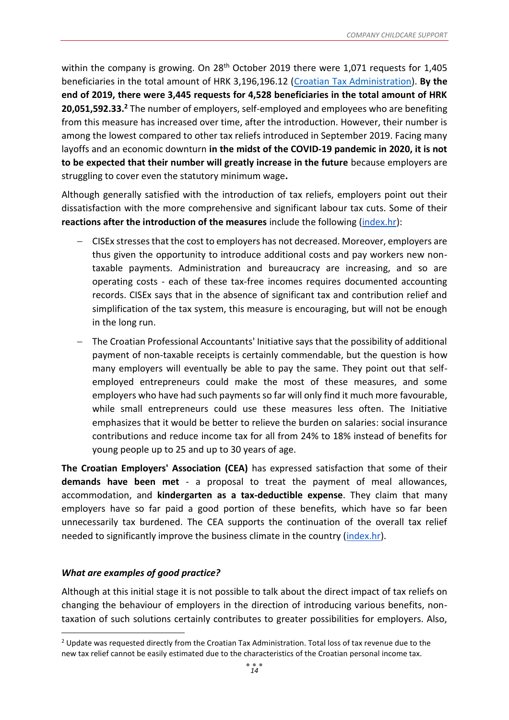within the company is growing. On 28<sup>th</sup> October 2019 there were 1,071 requests for 1,405 beneficiaries in the total amount of HRK 3,196,196.12 [\(Croatian Tax Administration\)](https://www.porezna-uprava.hr/Dokumenti%20vijesti/Porezna%20reforma%204.%20krug%2031%2010%202019.pdf). **By the end of 2019, there were 3,445 requests for 4,528 beneficiaries in the total amount of HRK 20,051,592.33.<sup>2</sup>** The number of employers, self-employed and employees who are benefiting from this measure has increased over time, after the introduction. However, their number is among the lowest compared to other tax reliefs introduced in September 2019. Facing many layoffs and an economic downturn **in the midst of the COVID-19 pandemic in 2020, it is not to be expected that their number will greatly increase in the future** because employers are struggling to cover even the statutory minimum wage**.**

Although generally satisfied with the introduction of tax reliefs, employers point out their dissatisfaction with the more comprehensive and significant labour tax cuts. Some of their **reactions after the introduction of the measures** include the following [\(index.hr\)](https://www.index.hr/vijesti/clanak/pitali-smo-poslodavce-sto-misle-o-placanju-toplog-obroka-i-vrtica-radnicima/2113150.aspx):

- − CISEx stresses that the cost to employers has not decreased. Moreover, employers are thus given the opportunity to introduce additional costs and pay workers new nontaxable payments. Administration and bureaucracy are increasing, and so are operating costs - each of these tax-free incomes requires documented accounting records. CISEx says that in the absence of significant tax and contribution relief and simplification of the tax system, this measure is encouraging, but will not be enough in the long run.
- − The Croatian Professional Accountants' Initiative says that the possibility of additional payment of non-taxable receipts is certainly commendable, but the question is how many employers will eventually be able to pay the same. They point out that selfemployed entrepreneurs could make the most of these measures, and some employers who have had such payments so far will only find it much more favourable, while small entrepreneurs could use these measures less often. The Initiative emphasizes that it would be better to relieve the burden on salaries: social insurance contributions and reduce income tax for all from 24% to 18% instead of benefits for young people up to 25 and up to 30 years of age.

**The Croatian Employers' Association (CEA)** has expressed satisfaction that some of their **demands have been met** - a proposal to treat the payment of meal allowances, accommodation, and **kindergarten as a tax-deductible expense**. They claim that many employers have so far paid a good portion of these benefits, which have so far been unnecessarily tax burdened. The CEA supports the continuation of the overall tax relief needed to significantly improve the business climate in the country [\(index.hr\)](https://www.index.hr/vijesti/clanak/pitali-smo-poslodavce-sto-misle-o-placanju-toplog-obroka-i-vrtica-radnicima/2113150.aspx).

## *What are examples of good practice?*

1

Although at this initial stage it is not possible to talk about the direct impact of tax reliefs on changing the behaviour of employers in the direction of introducing various benefits, nontaxation of such solutions certainly contributes to greater possibilities for employers. Also,

<sup>&</sup>lt;sup>2</sup> Update was requested directly from the Croatian Tax Administration. Total loss of tax revenue due to the new tax relief cannot be easily estimated due to the characteristics of the Croatian personal income tax.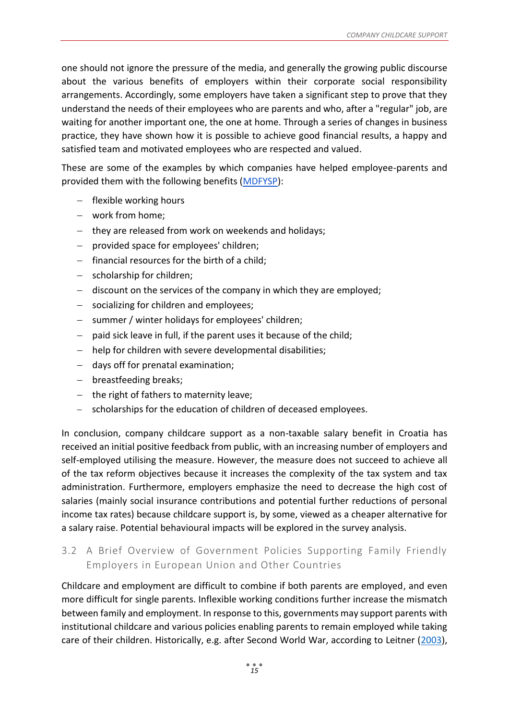one should not ignore the pressure of the media, and generally the growing public discourse about the various benefits of employers within their corporate social responsibility arrangements. Accordingly, some employers have taken a significant step to prove that they understand the needs of their employees who are parents and who, after a "regular" job, are waiting for another important one, the one at home. Through a series of changes in business practice, they have shown how it is possible to achieve good financial results, a happy and satisfied team and motivated employees who are respected and valued.

These are some of the examples by which companies have helped employee-parents and provided them with the following benefits [\(MDFYSP\)](https://mdomsp.gov.hr/vijesti-8/intervju-s-ministricom-bedekovic-uz-kvalitetnog-poslodavca-roditelj-moze-uspjesno-balansirati-izmedju-obiteljskih-obveza-i-zahtjevnog-trzista-rada/12449):

- − flexible working hours
- − work from home;
- − they are released from work on weekends and holidays;
- − provided space for employees' children;
- − financial resources for the birth of a child;
- − scholarship for children;
- − discount on the services of the company in which they are employed;
- − socializing for children and employees;
- − summer / winter holidays for employees' children;
- − paid sick leave in full, if the parent uses it because of the child;
- − help for children with severe developmental disabilities;
- − days off for prenatal examination;
- − breastfeeding breaks;
- − the right of fathers to maternity leave;
- − scholarships for the education of children of deceased employees.

In conclusion, company childcare support as a non-taxable salary benefit in Croatia has received an initial positive feedback from public, with an increasing number of employers and self-employed utilising the measure. However, the measure does not succeed to achieve all of the tax reform objectives because it increases the complexity of the tax system and tax administration. Furthermore, employers emphasize the need to decrease the high cost of salaries (mainly social insurance contributions and potential further reductions of personal income tax rates) because childcare support is, by some, viewed as a cheaper alternative for a salary raise. Potential behavioural impacts will be explored in the survey analysis.

## <span id="page-15-0"></span>3.2 A Brief Overview of Government Policies Supporting Family Friendly Employers in European Union and Other Countries

Childcare and employment are difficult to combine if both parents are employed, and even more difficult for single parents. Inflexible working conditions further increase the mismatch between family and employment. In response to this, governments may support parents with institutional childcare and various policies enabling parents to remain employed while taking care of their children. Historically, e.g. after Second World War, according to Leitner [\(2003\)](https://www.tandfonline.com/doi/abs/10.1080/1461669032000127642),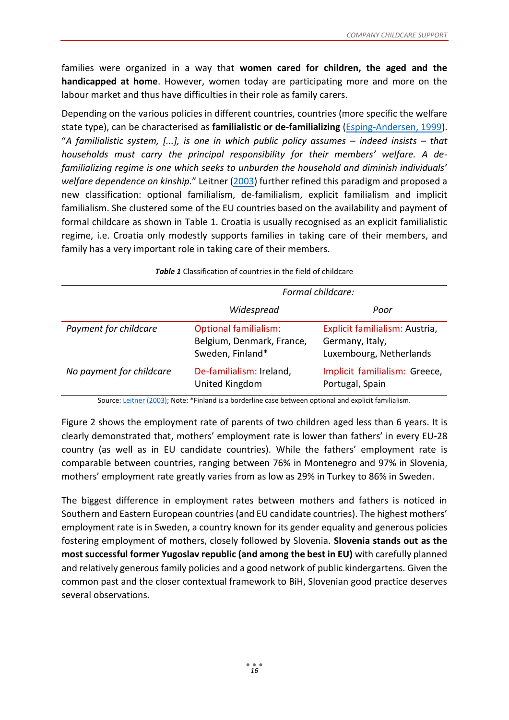families were organized in a way that **women cared for children, the aged and the handicapped at home**. However, women today are participating more and more on the labour market and thus have difficulties in their role as family carers.

Depending on the various policies in different countries, countries (more specific the welfare state type), can be characterised as **familialistic or de-familializing** [\(Esping-Andersen, 1999\)](https://oxford.universitypressscholarship.com/view/10.1093/0198742002.001.0001/acprof-9780198742005). "*A familialistic system, [...], is one in which public policy assumes – indeed insists – that households must carry the principal responsibility for their members' welfare. A defamilializing regime is one which seeks to unburden the household and diminish individuals' welfare dependence on kinship.*" Leitner [\(2003\)](https://www.tandfonline.com/doi/abs/10.1080/1461669032000127642) further refined this paradigm and proposed a new classification: optional familialism, de-familialism, explicit familialism and implicit familialism. She clustered some of the EU countries based on the availability and payment of formal childcare as shown in [Table 1.](#page-16-0) Croatia is usually recognised as an explicit familialistic regime, i.e. Croatia only modestly supports families in taking care of their members, and family has a very important role in taking care of their members.

<span id="page-16-0"></span>

|                          | Formal childcare:                                                             |                                                                              |  |
|--------------------------|-------------------------------------------------------------------------------|------------------------------------------------------------------------------|--|
|                          | Widespread                                                                    | Poor                                                                         |  |
| Payment for childcare    | <b>Optional familialism:</b><br>Belgium, Denmark, France,<br>Sweden, Finland* | Explicit familialism: Austria,<br>Germany, Italy,<br>Luxembourg, Netherlands |  |
| No payment for childcare | De-familialism: Ireland,<br>United Kingdom                                    | Implicit familialism: Greece,<br>Portugal, Spain                             |  |

*Table 1* Classification of countries in the field of childcare

Source: [Leitner \(2003\);](https://www.tandfonline.com/doi/abs/10.1080/1461669032000127642) Note: \*Finland is a borderline case between optional and explicit familialism.

[Figure 2](#page-17-0) shows the employment rate of parents of two children aged less than 6 years. It is clearly demonstrated that, mothers' employment rate is lower than fathers' in every EU-28 country (as well as in EU candidate countries). While the fathers' employment rate is comparable between countries, ranging between 76% in Montenegro and 97% in Slovenia, mothers' employment rate greatly varies from as low as 29% in Turkey to 86% in Sweden.

The biggest difference in employment rates between mothers and fathers is noticed in Southern and Eastern European countries (and EU candidate countries). The highest mothers' employment rate is in Sweden, a country known for its gender equality and generous policies fostering employment of mothers, closely followed by Slovenia. **Slovenia stands out as the most successful former Yugoslav republic (and among the best in EU)** with carefully planned and relatively generous family policies and a good network of public kindergartens. Given the common past and the closer contextual framework to BiH, Slovenian good practice deserves several observations.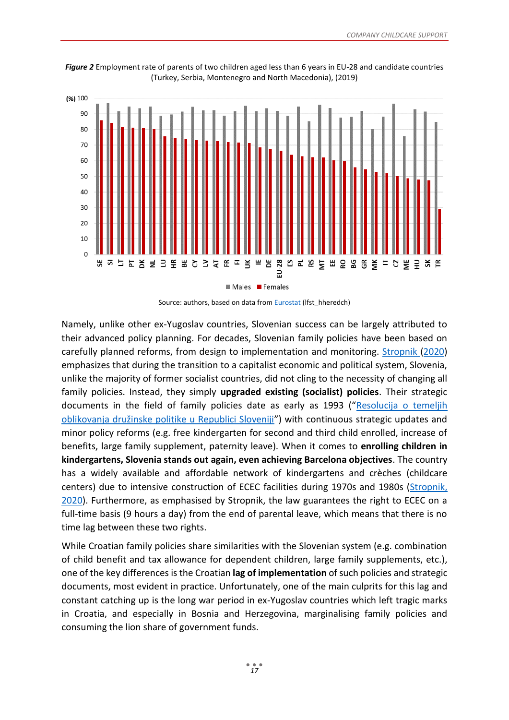

<span id="page-17-0"></span>*Figure 2* Employment rate of parents of two children aged less than 6 years in EU-28 and candidate countries (Turkey, Serbia, Montenegro and North Macedonia), (2019)

Source: authors, based on data from **Eurostat** (lfst hheredch)

Namely, unlike other ex-Yugoslav countries, Slovenian success can be largely attributed to their advanced policy planning. For decades, Slovenian family policies have been based on carefully planned reforms, from design to implementation and monitoring. [Stropnik](https://tripalo.hr/wp-content/uploads/2020/01/Socijalno-demografska-reprodukcija-Hrvatske-105-170.pdf) (2020) emphasizes that during the transition to a capitalist economic and political system, Slovenia, unlike the majority of former socialist countries, did not cling to the necessity of changing all family policies. Instead, they simply **upgraded existing (socialist) policies**. Their strategic documents in the field of family policies date as early as 1993 ("[Resolucija o temeljih](http://www.pisrs.si/Pis.web/pregledPredpisa?id=RESO13)  [oblikovanja družinske politike u Republici Sloveniji"](http://www.pisrs.si/Pis.web/pregledPredpisa?id=RESO13)) with continuous strategic updates and minor policy reforms (e.g. free kindergarten for second and third child enrolled, increase of benefits, large family supplement, paternity leave). When it comes to **enrolling children in kindergartens, Slovenia stands out again, even achieving Barcelona objectives**. The country has a widely available and affordable network of kindergartens and crèches (childcare centers) due to intensive construction of ECEC facilities during 1970s and 1980s [\(Stropnik,](https://tripalo.hr/wp-content/uploads/2020/01/Socijalno-demografska-reprodukcija-Hrvatske-105-170.pdf)  [2020\)](https://tripalo.hr/wp-content/uploads/2020/01/Socijalno-demografska-reprodukcija-Hrvatske-105-170.pdf). Furthermore, as emphasised by Stropnik, the law guarantees the right to ECEC on a full-time basis (9 hours a day) from the end of parental leave, which means that there is no time lag between these two rights.

While Croatian family policies share similarities with the Slovenian system (e.g. combination of child benefit and tax allowance for dependent children, large family supplements, etc.), one of the key differences is the Croatian **lag of implementation** of such policies and strategic documents, most evident in practice. Unfortunately, one of the main culprits for this lag and constant catching up is the long war period in ex-Yugoslav countries which left tragic marks in Croatia, and especially in Bosnia and Herzegovina, marginalising family policies and consuming the lion share of government funds.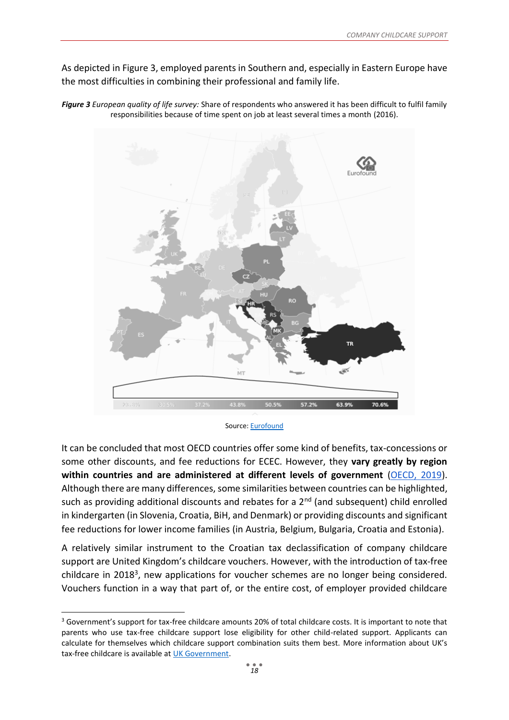As depicted in [Figure 3,](#page-18-0) employed parents in Southern and, especially in Eastern Europe have the most difficulties in combining their professional and family life.



<span id="page-18-0"></span>*Figure 3 European quality of life survey:* Share of respondents who answered it has been difficult to fulfil family responsibilities because of time spent on job at least several times a month (2016).

It can be concluded that most OECD countries offer some kind of benefits, tax-concessions or some other discounts, and fee reductions for ECEC. However, they **vary greatly by region within countries and are administered at different levels of government** [\(OECD, 2019\)](https://taxben.oecd.org/tax-ben-resources/childcare_costs_2019/Annex_C_Regional_childcare_costs.xlsx). Although there are many differences, some similarities between countries can be highlighted, such as providing additional discounts and rebates for a  $2<sup>nd</sup>$  (and subsequent) child enrolled in kindergarten (in Slovenia, Croatia, BiH, and Denmark) or providing discounts and significant fee reductions for lower income families (in Austria, Belgium, Bulgaria, Croatia and Estonia).

A relatively similar instrument to the Croatian tax declassification of company childcare support are United Kingdom's childcare vouchers. However, with the introduction of tax-free childcare in 2018<sup>3</sup>, new applications for voucher schemes are no longer being considered. Vouchers function in a way that part of, or the entire cost, of employer provided childcare

1

Source: [Eurofound](https://www.eurofound.europa.eu/data/european-quality-of-life-survey)

<sup>&</sup>lt;sup>3</sup> Government's support for tax-free childcare amounts 20% of total childcare costs. It is important to note that parents who use tax-free childcare support lose eligibility for other child-related support. Applicants can calculate for themselves which childcare support combination suits them best. More information about UK's tax-free childcare is available a[t UK Government.](https://www.gov.uk/tax-free-childcare)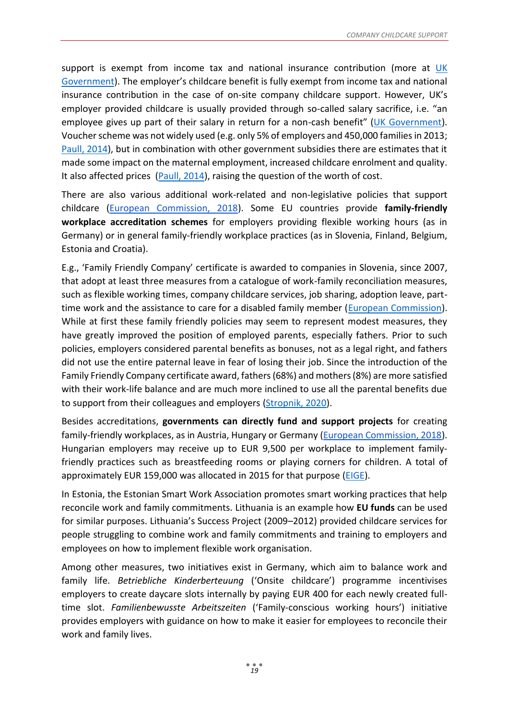support is exempt from income tax and national insurance contribution (more at UK [Government\)](https://www.gov.uk/guidance/employer-supported-childcare-480-appendix-11). The employer's childcare benefit is fully exempt from income tax and national insurance contribution in the case of on-site company childcare support. However, UK's employer provided childcare is usually provided through so-called salary sacrifice, i.e. "an employee gives up part of their salary in return for a non-cash benefit" ([UK Government\)](https://www.gov.uk/expenses-and-benefits-childcare). Voucher scheme was not widely used (e.g. only 5% of employers and 450,000 families in 2013; [Paull, 2014\)](https://onlinelibrary.wiley.com/doi/full/10.1111/ecaf.12062), but in combination with other government subsidies there are estimates that it made some impact on the maternal employment, increased childcare enrolment and quality. It also affected prices [\(Paull, 2014\)](https://onlinelibrary.wiley.com/doi/full/10.1111/ecaf.12062), raising the question of the worth of cost.

There are also various additional work-related and non-legislative policies that support childcare [\(European Commission, 2018\)](https://ec.europa.eu/social/main.jsp?catId=738&langId=en&pubId=8137&furtherPubs=yes). Some EU countries provide **family-friendly workplace accreditation schemes** for employers providing flexible working hours (as in Germany) or in general family-friendly workplace practices (as in Slovenia, Finland, Belgium, Estonia and Croatia).

E.g., 'Family Friendly Company' certificate is awarded to companies in Slovenia, since 2007, that adopt at least three measures from a catalogue of work-family reconciliation measures, such as flexible working times, company childcare services, job sharing, adoption leave, parttime work and the assistance to care for a disabled family member [\(European Commission\)](https://ec.europa.eu/social/main.jsp?catId=1252&langId=en&reviewId=58). While at first these family friendly policies may seem to represent modest measures, they have greatly improved the position of employed parents, especially fathers. Prior to such policies, employers considered parental benefits as bonuses, not as a legal right, and fathers did not use the entire paternal leave in fear of losing their job. Since the introduction of the Family Friendly Company certificate award, fathers (68%) and mothers (8%) are more satisfied with their work-life balance and are much more inclined to use all the parental benefits due to support from their colleagues and employers [\(Stropnik, 2020\)](https://tripalo.hr/wp-content/uploads/2020/01/Socijalno-demografska-reprodukcija-Hrvatske-105-170.pdf).

Besides accreditations, **governments can directly fund and support projects** for creating family-friendly workplaces, as in Austria, Hungary or Germany [\(European Commission, 2018\)](https://ec.europa.eu/social/main.jsp?catId=738&langId=en&pubId=8137&furtherPubs=yes). Hungarian employers may receive up to EUR 9,500 per workplace to implement familyfriendly practices such as breastfeeding rooms or playing corners for children. A total of approximately EUR 159,000 was allocated in 2015 for that purpose [\(EIGE\)](https://eige.europa.eu/gender-mainstreaming/toolkits/gear/legislative-policy-backgrounds/hungary).

In Estonia, the Estonian Smart Work Association promotes smart working practices that help reconcile work and family commitments. Lithuania is an example how **EU funds** can be used for similar purposes. Lithuania's Success Project (2009–2012) provided childcare services for people struggling to combine work and family commitments and training to employers and employees on how to implement flexible work organisation.

Among other measures, two initiatives exist in Germany, which aim to balance work and family life. *Betriebliche Kinderberteuung* ('Onsite childcare') programme incentivises employers to create daycare slots internally by paying EUR 400 for each newly created fulltime slot. *Familienbewusste Arbeitszeiten* ('Family-conscious working hours') initiative provides employers with guidance on how to make it easier for employees to reconcile their work and family lives.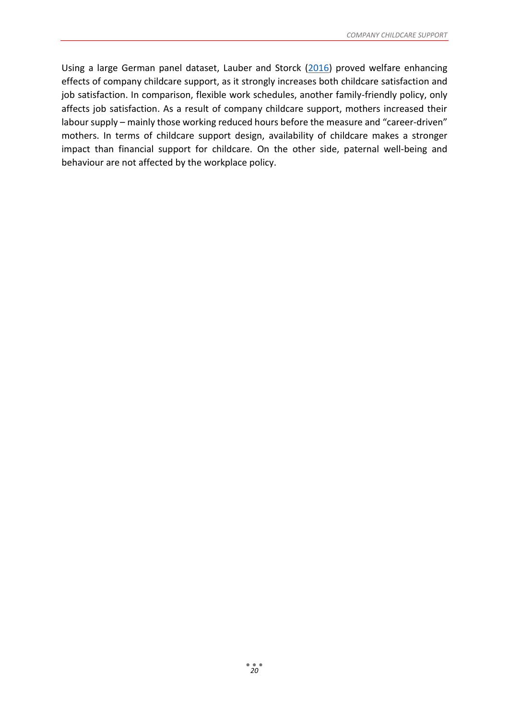Using a large German panel dataset, Lauber and Storck [\(2016\)](https://www.econstor.eu/bitstream/10419/149800/1/876649517.pdf) proved welfare enhancing effects of company childcare support, as it strongly increases both childcare satisfaction and job satisfaction. In comparison, flexible work schedules, another family-friendly policy, only affects job satisfaction. As a result of company childcare support, mothers increased their labour supply – mainly those working reduced hours before the measure and "career-driven" mothers. In terms of childcare support design, availability of childcare makes a stronger impact than financial support for childcare. On the other side, paternal well-being and behaviour are not affected by the workplace policy.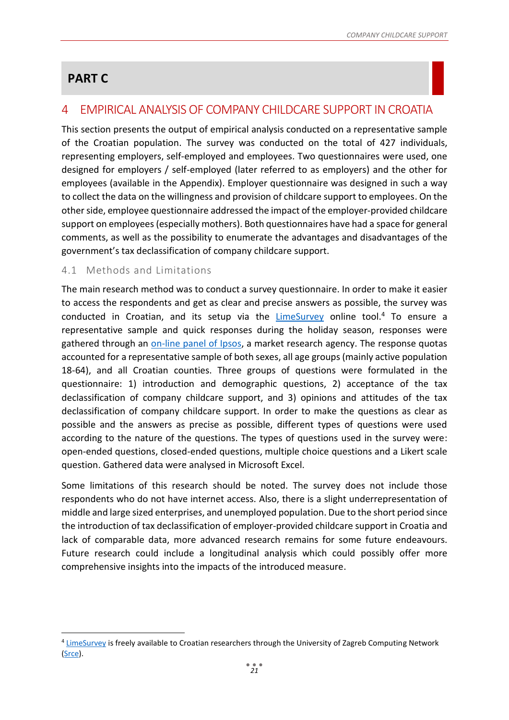# **PART C**

1

# <span id="page-21-0"></span>4 EMPIRICAL ANALYSIS OF COMPANY CHILDCARE SUPPORT IN CROATIA

This section presents the output of empirical analysis conducted on a representative sample of the Croatian population. The survey was conducted on the total of 427 individuals, representing employers, self-employed and employees. Two questionnaires were used, one designed for employers / self-employed (later referred to as employers) and the other for employees (available in the Appendix). Employer questionnaire was designed in such a way to collect the data on the willingness and provision of childcare support to employees. On the other side, employee questionnaire addressed the impact of the employer-provided childcare support on employees (especially mothers). Both questionnaires have had a space for general comments, as well as the possibility to enumerate the advantages and disadvantages of the government's tax declassification of company childcare support.

## <span id="page-21-1"></span>4.1 Methods and Limitations

The main research method was to conduct a survey questionnaire. In order to make it easier to access the respondents and get as clear and precise answers as possible, the survey was conducted in Croatian, and its setup via the [LimeSurvey](https://www.limesurvey.org/en/) online tool.<sup>4</sup> To ensure a representative sample and quick responses during the holiday season, responses were gathered through an [on-line panel of Ipsos,](https://adriapanel.ipsosadria.com/) a market research agency. The response quotas accounted for a representative sample of both sexes, all age groups (mainly active population 18-64), and all Croatian counties. Three groups of questions were formulated in the questionnaire: 1) introduction and demographic questions, 2) acceptance of the tax declassification of company childcare support, and 3) opinions and attitudes of the tax declassification of company childcare support. In order to make the questions as clear as possible and the answers as precise as possible, different types of questions were used according to the nature of the questions. The types of questions used in the survey were: open-ended questions, closed-ended questions, multiple choice questions and a Likert scale question. Gathered data were analysed in Microsoft Excel.

Some limitations of this research should be noted. The survey does not include those respondents who do not have internet access. Also, there is a slight underrepresentation of middle and large sized enterprises, and unemployed population. Due to the short period since the introduction of tax declassification of employer-provided childcare support in Croatia and lack of comparable data, more advanced research remains for some future endeavours. Future research could include a longitudinal analysis which could possibly offer more comprehensive insights into the impacts of the introduced measure.

<sup>&</sup>lt;sup>4</sup> [LimeSurvey](https://www.srce.unizg.hr/limesurvey) is freely available to Croatian researchers through the University of Zagreb Computing Network [\(Srce\)](https://www.srce.unizg.hr/en/).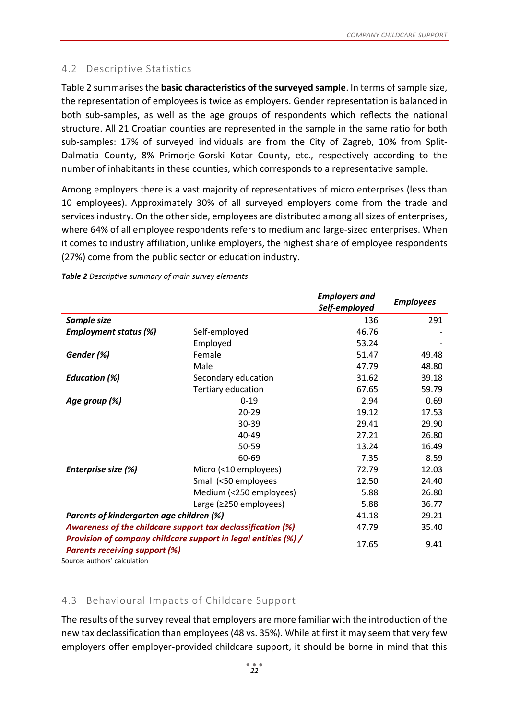## <span id="page-22-1"></span>4.2 Descriptive Statistics

[Table 2](#page-22-2) summarises the **basic characteristics of the surveyed sample**. In terms of sample size, the representation of employees is twice as employers. Gender representation is balanced in both sub-samples, as well as the age groups of respondents which reflects the national structure. All 21 Croatian counties are represented in the sample in the same ratio for both sub-samples: 17% of surveyed individuals are from the City of Zagreb, 10% from Split-Dalmatia County, 8% Primorje-Gorski Kotar County, etc., respectively according to the number of inhabitants in these counties, which corresponds to a representative sample.

Among employers there is a vast majority of representatives of micro enterprises (less than 10 employees). Approximately 30% of all surveyed employers come from the trade and services industry. On the other side, employees are distributed among all sizes of enterprises, where 64% of all employee respondents refers to medium and large-sized enterprises. When it comes to industry affiliation, unlike employers, the highest share of employee respondents (27%) come from the public sector or education industry.

|                                                                |                               | <b>Employers and</b><br>Self-employed | <b>Employees</b> |  |
|----------------------------------------------------------------|-------------------------------|---------------------------------------|------------------|--|
| Sample size                                                    |                               | 136                                   | 291              |  |
| <b>Employment status (%)</b>                                   | Self-employed                 | 46.76                                 |                  |  |
|                                                                | Employed                      | 53.24                                 |                  |  |
| Gender (%)                                                     | Female                        | 51.47                                 | 49.48            |  |
|                                                                | Male                          | 47.79                                 | 48.80            |  |
| <b>Education (%)</b>                                           | Secondary education           | 31.62                                 | 39.18            |  |
|                                                                | Tertiary education            | 67.65                                 | 59.79            |  |
| Age group (%)                                                  | $0 - 19$                      | 2.94                                  | 0.69             |  |
|                                                                | $20 - 29$                     | 19.12                                 | 17.53            |  |
|                                                                | $30 - 39$                     | 29.41                                 | 29.90            |  |
|                                                                | 40-49                         | 27.21                                 | 26.80            |  |
|                                                                | 50-59                         | 13.24                                 | 16.49            |  |
|                                                                | 60-69                         | 7.35                                  | 8.59             |  |
| Enterprise size (%)                                            | Micro (<10 employees)         | 72.79                                 | 12.03            |  |
|                                                                | Small (<50 employees          | 12.50                                 | 24.40            |  |
|                                                                | Medium (<250 employees)       | 5.88                                  | 26.80            |  |
|                                                                | Large ( $\geq$ 250 employees) | 5.88                                  | 36.77            |  |
| Parents of kindergarten age children (%)                       | 41.18                         | 29.21                                 |                  |  |
| Awareness of the childcare support tax declassification (%)    | 47.79                         | 35.40                                 |                  |  |
| Provision of company childcare support in legal entities (%) / |                               |                                       |                  |  |
| <b>Parents receiving support (%)</b>                           | 17.65                         | 9.41                                  |                  |  |

<span id="page-22-2"></span>*Table 2 Descriptive summary of main survey elements*

Source: authors' calculation

## <span id="page-22-0"></span>4.3 Behavioural Impacts of Childcare Support

The results of the survey reveal that employers are more familiar with the introduction of the new tax declassification than employees (48 vs. 35%). While at first it may seem that very few employers offer employer-provided childcare support, it should be borne in mind that this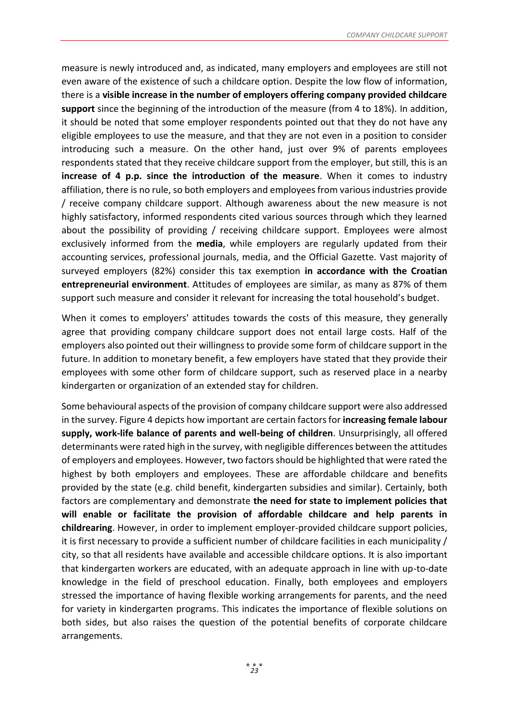measure is newly introduced and, as indicated, many employers and employees are still not even aware of the existence of such a childcare option. Despite the low flow of information, there is a **visible increase in the number of employers offering company provided childcare support** since the beginning of the introduction of the measure (from 4 to 18%). In addition, it should be noted that some employer respondents pointed out that they do not have any eligible employees to use the measure, and that they are not even in a position to consider introducing such a measure. On the other hand, just over 9% of parents employees respondents stated that they receive childcare support from the employer, but still, this is an **increase of 4 p.p. since the introduction of the measure**. When it comes to industry affiliation, there is no rule, so both employers and employees from various industries provide / receive company childcare support. Although awareness about the new measure is not highly satisfactory, informed respondents cited various sources through which they learned about the possibility of providing / receiving childcare support. Employees were almost exclusively informed from the **media**, while employers are regularly updated from their accounting services, professional journals, media, and the Official Gazette. Vast majority of surveyed employers (82%) consider this tax exemption **in accordance with the Croatian entrepreneurial environment**. Attitudes of employees are similar, as many as 87% of them support such measure and consider it relevant for increasing the total household's budget.

When it comes to employers' attitudes towards the costs of this measure, they generally agree that providing company childcare support does not entail large costs. Half of the employers also pointed out their willingness to provide some form of childcare support in the future. In addition to monetary benefit, a few employers have stated that they provide their employees with some other form of childcare support, such as reserved place in a nearby kindergarten or organization of an extended stay for children.

Some behavioural aspects of the provision of company childcare support were also addressed in the survey[. Figure 4](#page-24-0) depicts how important are certain factors for **increasing female labour supply, work-life balance of parents and well-being of children**. Unsurprisingly, all offered determinants were rated high in the survey, with negligible differences between the attitudes of employers and employees. However, two factors should be highlighted that were rated the highest by both employers and employees. These are affordable childcare and benefits provided by the state (e.g. child benefit, kindergarten subsidies and similar). Certainly, both factors are complementary and demonstrate **the need for state to implement policies that will enable or facilitate the provision of affordable childcare and help parents in childrearing**. However, in order to implement employer-provided childcare support policies, it is first necessary to provide a sufficient number of childcare facilities in each municipality / city, so that all residents have available and accessible childcare options. It is also important that kindergarten workers are educated, with an adequate approach in line with up-to-date knowledge in the field of preschool education. Finally, both employees and employers stressed the importance of having flexible working arrangements for parents, and the need for variety in kindergarten programs. This indicates the importance of flexible solutions on both sides, but also raises the question of the potential benefits of corporate childcare arrangements.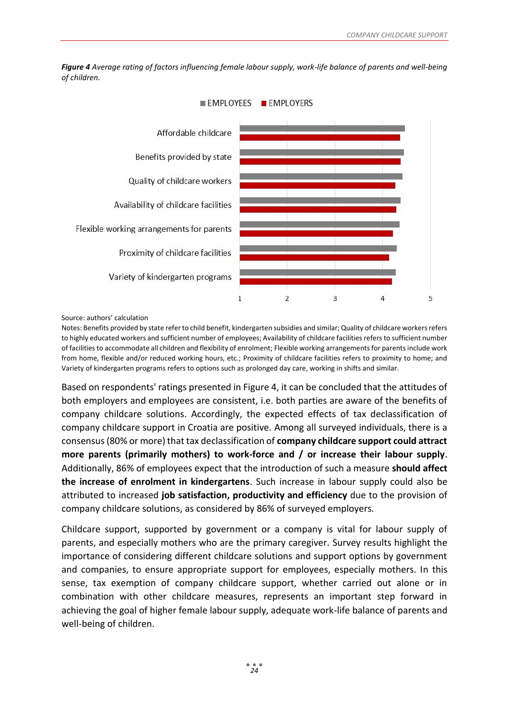

<span id="page-24-0"></span>*Figure 4 Average rating of factors influencing female labour supply, work-life balance of parents and well-being of children.* 

Source: authors' calculation

Notes: Benefits provided by state refer to child benefit, kindergarten subsidies and similar; Quality of childcare workers refers to highly educated workers and sufficient number of employees; Availability of childcare facilities refers to sufficient number of facilities to accommodate all children and flexibility of enrolment; Flexible working arrangements for parents include work from home, flexible and/or reduced working hours, etc.; Proximity of childcare facilities refers to proximity to home; and Variety of kindergarten programs refers to options such as prolonged day care, working in shifts and similar.

Based on respondents' ratings presented in Figure 4, it can be concluded that the attitudes of both employers and employees are consistent, i.e. both parties are aware of the benefits of company childcare solutions. Accordingly, the expected effects of tax declassification of company childcare support in Croatia are positive. Among all surveyed individuals, there is a consensus (80% or more) that tax declassification of **company childcare support could attract more parents (primarily mothers) to work-force and / or increase their labour supply**. Additionally, 86% of employees expect that the introduction of such a measure **should affect the increase of enrolment in kindergartens**. Such increase in labour supply could also be attributed to increased **job satisfaction, productivity and efficiency** due to the provision of company childcare solutions, as considered by 86% of surveyed employers.

Childcare support, supported by government or a company is vital for labour supply of parents, and especially mothers who are the primary caregiver. Survey results highlight the importance of considering different childcare solutions and support options by government and companies, to ensure appropriate support for employees, especially mothers. In this sense, tax exemption of company childcare support, whether carried out alone or in combination with other childcare measures, represents an important step forward in achieving the goal of higher female labour supply, adequate work-life balance of parents and well-being of children.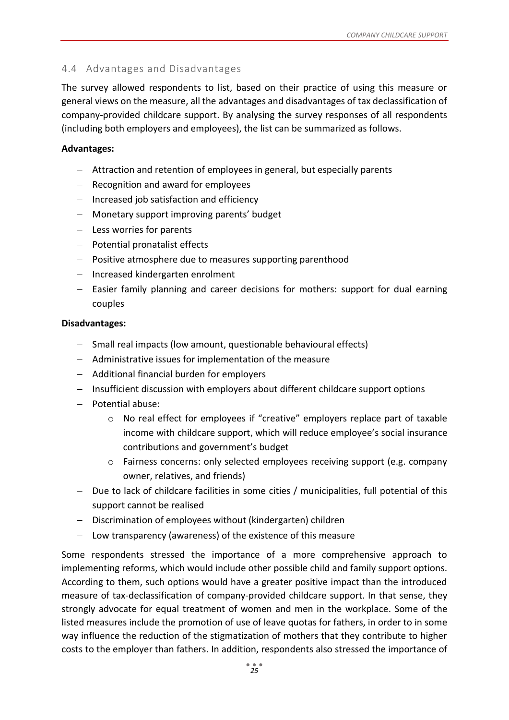## <span id="page-25-0"></span>4.4 Advantages and Disadvantages

The survey allowed respondents to list, based on their practice of using this measure or general views on the measure, all the advantages and disadvantages of tax declassification of company-provided childcare support. By analysing the survey responses of all respondents (including both employers and employees), the list can be summarized as follows.

#### **Advantages:**

- − Attraction and retention of employees in general, but especially parents
- − Recognition and award for employees
- − Increased job satisfaction and efficiency
- − Monetary support improving parents' budget
- − Less worries for parents
- − Potential pronatalist effects
- − Positive atmosphere due to measures supporting parenthood
- − Increased kindergarten enrolment
- − Easier family planning and career decisions for mothers: support for dual earning couples

#### **Disadvantages:**

- − Small real impacts (low amount, questionable behavioural effects)
- − Administrative issues for implementation of the measure
- − Additional financial burden for employers
- − Insufficient discussion with employers about different childcare support options
- − Potential abuse:
	- $\circ$  No real effect for employees if "creative" employers replace part of taxable income with childcare support, which will reduce employee's social insurance contributions and government's budget
	- o Fairness concerns: only selected employees receiving support (e.g. company owner, relatives, and friends)
- − Due to lack of childcare facilities in some cities / municipalities, full potential of this support cannot be realised
- − Discrimination of employees without (kindergarten) children
- − Low transparency (awareness) of the existence of this measure

Some respondents stressed the importance of a more comprehensive approach to implementing reforms, which would include other possible child and family support options. According to them, such options would have a greater positive impact than the introduced measure of tax-declassification of company-provided childcare support. In that sense, they strongly advocate for equal treatment of women and men in the workplace. Some of the listed measures include the promotion of use of leave quotas for fathers, in order to in some way influence the reduction of the stigmatization of mothers that they contribute to higher costs to the employer than fathers. In addition, respondents also stressed the importance of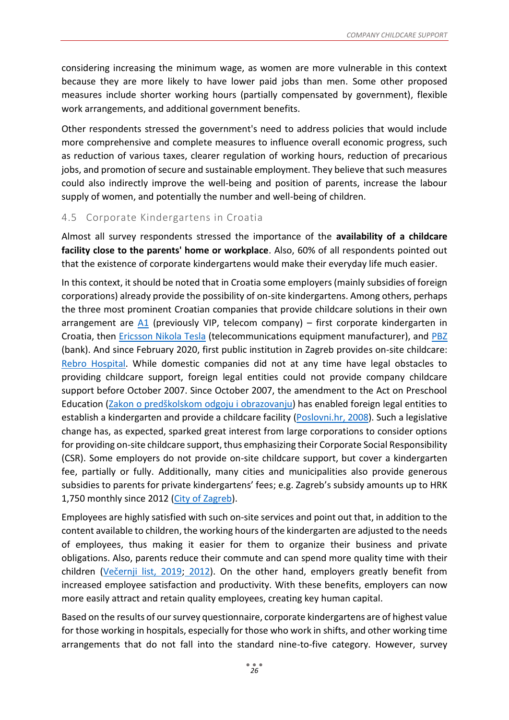considering increasing the minimum wage, as women are more vulnerable in this context because they are more likely to have lower paid jobs than men. Some other proposed measures include shorter working hours (partially compensated by government), flexible work arrangements, and additional government benefits.

Other respondents stressed the government's need to address policies that would include more comprehensive and complete measures to influence overall economic progress, such as reduction of various taxes, clearer regulation of working hours, reduction of precarious jobs, and promotion of secure and sustainable employment. They believe that such measures could also indirectly improve the well-being and position of parents, increase the labour supply of women, and potentially the number and well-being of children.

## <span id="page-26-0"></span>4.5 Corporate Kindergartens in Croatia

Almost all survey respondents stressed the importance of the **availability of a childcare facility close to the parents' home or workplace**. Also, 60% of all respondents pointed out that the existence of corporate kindergartens would make their everyday life much easier.

In this context, it should be noted that in Croatia some employers (mainly subsidies of foreign corporations) already provide the possibility of on-site kindergartens. Among others, perhaps the three most prominent Croatian companies that provide childcare solutions in their own arrangement are  $A1$  (previously VIP, telecom company) – first corporate kindergarten in Croatia, then *Ericsson Nikola Tesla* (telecommunications equipment manufacturer), and [PBZ](https://www.pbz.hr/gradjani/o-nama/posao-i-karijera/tko-smo-mi.html) (bank). And since February 2020, first public institution in Zagreb provides on-site childcare: [Rebro Hospital.](https://www.kbc-zagreb.hr/novosti/otvoren-korporativni-vrtic-u-sklopu-kbc-a-zagreb/) While domestic companies did not at any time have legal obstacles to providing childcare support, foreign legal entities could not provide company childcare support before October 2007. Since October 2007, the amendment to the Act on Preschool Education ([Zakon o predškolskom](https://www.zakon.hr/z/492/Zakon-o-pred%C5%A1kolskom-odgoju-i-obrazovanju) odgoju i obrazovanju) has enabled foreign legal entities to establish a kindergarten and provide a childcare facility [\(Poslovni.hr, 2008\)](https://www.poslovni.hr/lifestyle/vrtic-za-djecu-zaposlenika-imaju-samo-vip-ent-i-hypo-75991). Such a legislative change has, as expected, sparked great interest from large corporations to consider options for providing on-site childcare support, thus emphasizing their Corporate Social Responsibility (CSR). Some employers do not provide on-site childcare support, but cover a kindergarten fee, partially or fully. Additionally, many cities and municipalities also provide generous subsidies to parents for private kindergartens' fees; e.g. Zagreb's subsidy amounts up to HRK 1,750 monthly since 2012 [\(City of Zagreb\)](https://www.zagreb.hr/userdocsimages/arhiva/odgoj_obrazovanje_spot/Obavijest%20o%20sufinanciranju%20redovitog%20programa%20u%20vjerskim%20i%20privatnim%20predskolskim%20ustanovama%20u%20Gradu%20Zagrebu%202020.pdf).

Employees are highly satisfied with such on-site services and point out that, in addition to the content available to children, the working hours of the kindergarten are adjusted to the needs of employees, thus making it easier for them to organize their business and private obligations. Also, parents reduce their commute and can spend more quality time with their children ([Večernji list, 2019](https://www.vecernji.hr/biznis/fleksibilno-radno-vrijeme-velika-je-pogodnost-za-zaposlene-roditelje-1319214); [2012\)](https://www.vecernji.hr/zagreb/zagreb-dobio-cetvrti-korporativni-vrtic-pbz-otvorio-cigru-452171). On the other hand, employers greatly benefit from increased employee satisfaction and productivity. With these benefits, employers can now more easily attract and retain quality employees, creating key human capital.

Based on the results of our survey questionnaire, corporate kindergartens are of highest value for those working in hospitals, especially for those who work in shifts, and other working time arrangements that do not fall into the standard nine-to-five category. However, survey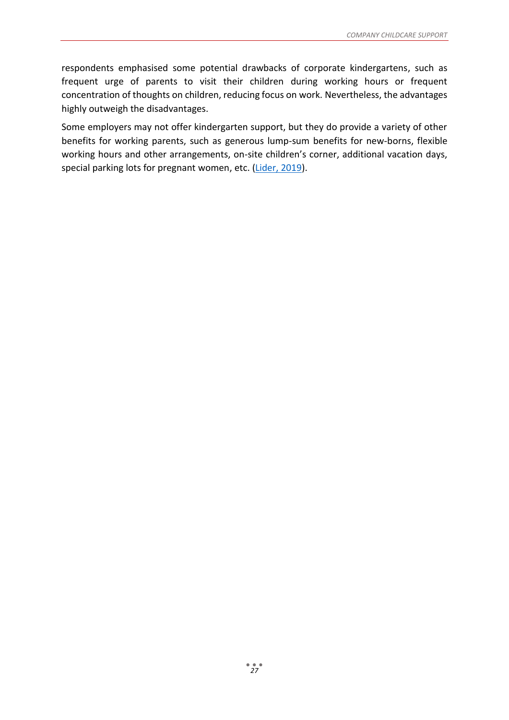respondents emphasised some potential drawbacks of corporate kindergartens, such as frequent urge of parents to visit their children during working hours or frequent concentration of thoughts on children, reducing focus on work. Nevertheless, the advantages highly outweigh the disadvantages.

Some employers may not offer kindergarten support, but they do provide a variety of other benefits for working parents, such as generous lump-sum benefits for new-borns, flexible working hours and other arrangements, on-site children's corner, additional vacation days, special parking lots for pregnant women, etc. [\(Lider, 2019\)](https://lider.media/aktualno/demografske-mjere-kako-hrvatski-poslodavci-poticu-natalitet-119810).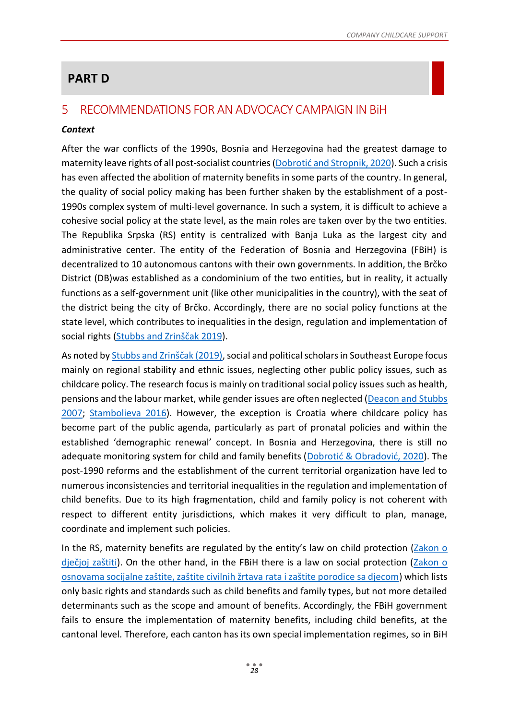# **PART D**

## <span id="page-28-0"></span>5 RECOMMENDATIONS FOR AN ADVOCACY CAMPAIGN IN BiH

## *Context*

After the war conflicts of the 1990s, Bosnia and Herzegovina had the greatest damage to maternity leave rights of all post-socialist countries ([Dobrotić and Stropnik, 2020](https://www.tandfonline.com/doi/full/10.1080/14683857.2020.1805890?scroll=top&needAccess=true)). Such a crisis has even affected the abolition of maternity benefits in some parts of the country. In general, the quality of social policy making has been further shaken by the establishment of a post-1990s complex system of multi-level governance. In such a system, it is difficult to achieve a cohesive social policy at the state level, as the main roles are taken over by the two entities. The Republika Srpska (RS) entity is centralized with Banja Luka as the largest city and administrative center. The entity of the Federation of Bosnia and Herzegovina (FBiH) is decentralized to 10 autonomous cantons with their own governments. In addition, the Brčko District (DB)was established as a condominium of the two entities, but in reality, it actually functions as a self-government unit (like other municipalities in the country), with the seat of the district being the city of Brčko. Accordingly, there are no social policy functions at the state level, which contributes to inequalities in the design, regulation and implementation of social rights ([Stubbs and Zrinščak 2019](http://cup.columbia.edu/book/social-policy-poverty-and-inequality-in-central-and-eastern-europe-and-the-former-soviet-union/9783838213088)).

As noted by [Stubbs and Zrinščak \(2019\)](http://cup.columbia.edu/book/social-policy-poverty-and-inequality-in-central-and-eastern-europe-and-the-former-soviet-union/9783838213088), social and political scholars in Southeast Europe focus mainly on regional stability and ethnic issues, neglecting other public policy issues, such as childcare policy. The research focus is mainly on traditional social policy issues such as health, pensions and the labour market, while gender issues are often neglected [\(Deacon and Stubbs](https://www.e-elgar.com/shop/gbp/social-policy-and-international-interventions-in-south-east-europe-9781847200969.html)  [2007;](https://www.e-elgar.com/shop/gbp/social-policy-and-international-interventions-in-south-east-europe-9781847200969.html) [Stambolieva 2016\)](https://www.routledge.com/Welfare-State-Transformation-in-the-Yugoslav-Successor-States-From-Social/Stambolieva/p/book/9780367347307). However, the exception is Croatia where childcare policy has become part of the public agenda, particularly as part of pronatal policies and within the established 'demographic renewal' concept. In Bosnia and Herzegovina, there is still no adequate monitoring system for child and family benefits ([Dobrotić & Obradović, 2020](https://www.tandfonline.com/doi/full/10.1080/14683857.2020.1805890?scroll=top&needAccess=true&)). The post-1990 reforms and the establishment of the current territorial organization have led to numerous inconsistencies and territorial inequalities in the regulation and implementation of child benefits. Due to its high fragmentation, child and family policy is not coherent with respect to different entity jurisdictions, which makes it very difficult to plan, manage, coordinate and implement such policies.

In the RS, maternity benefits are regulated by the entity's law on child protection [\(Zakon o](http://www.djeca.rs.ba/uploaded/Zakon%20o%20djecijoj%20zastiti%20sl.gl.%20114-17.pdf)  [dječjoj zaštiti](http://www.djeca.rs.ba/uploaded/Zakon%20o%20djecijoj%20zastiti%20sl.gl.%20114-17.pdf)). On the other hand, in the FBiH there is a law on social protection (Zakon o [osnovama socijalne zaštite, zaštite civilnih žrtava rata i zaštite porodice sa djecom](https://fmrsp.gov.ba/?wpdmpro=zakon-o-osnovama-socijalne-zastite-zastite-civilnih-zrtava-rata-i-zasite-porodice-sa-djecom-sa-izmjenama-i-dopunama&wpdmdl=4414&refresh=5f50ec85e7ac81599138949)) which lists only basic rights and standards such as child benefits and family types, but not more detailed determinants such as the scope and amount of benefits. Accordingly, the FBiH government fails to ensure the implementation of maternity benefits, including child benefits, at the cantonal level. Therefore, each canton has its own special implementation regimes, so in BiH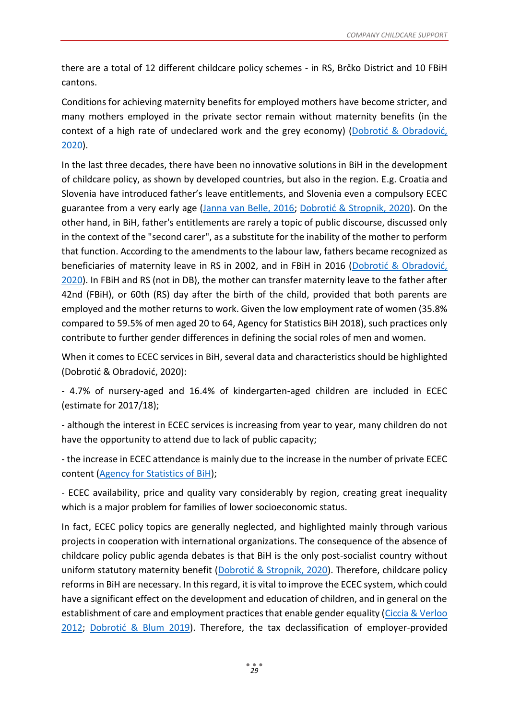there are a total of 12 different childcare policy schemes - in RS, Brčko District and 10 FBiH cantons.

Conditions for achieving maternity benefits for employed mothers have become stricter, and many mothers employed in the private sector remain without maternity benefits (in the context of a high rate of undeclared work and the grey economy) ([Dobrotić & Obradović,](https://www.tandfonline.com/doi/full/10.1080/14683857.2020.1805890?scroll=top&needAccess=true&)  [2020\)](https://www.tandfonline.com/doi/full/10.1080/14683857.2020.1805890?scroll=top&needAccess=true&).

In the last three decades, there have been no innovative solutions in BiH in the development of childcare policy, as shown by developed countries, but also in the region. E.g. Croatia and Slovenia have introduced father's leave entitlements, and Slovenia even a compulsory ECEC guarantee from a very early age [\(Janna van Belle, 2016;](https://www.rand.org/pubs/research_reports/RR1667.html) [Dobrotić & Stropnik, 2020](https://www.emerald.com/insight/content/doi/10.1108/IJSSP-04-2019-0065/full/html)). On the other hand, in BiH, father's entitlements are rarely a topic of public discourse, discussed only in the context of the "second carer", as a substitute for the inability of the mother to perform that function. According to the amendments to the labour law, fathers became recognized as beneficiaries of maternity leave in RS in 2002, and in FBiH in 2016 ([Dobrotić & Obradović,](https://www.tandfonline.com/doi/full/10.1080/14683857.2020.1805890?scroll=top&needAccess=true&)  [2020\)](https://www.tandfonline.com/doi/full/10.1080/14683857.2020.1805890?scroll=top&needAccess=true&). In FBiH and RS (not in DB), the mother can transfer maternity leave to the father after 42nd (FBiH), or 60th (RS) day after the birth of the child, provided that both parents are employed and the mother returns to work. Given the low employment rate of women (35.8% compared to 59.5% of men aged 20 to 64, Agency for Statistics BiH 2018), such practices only contribute to further gender differences in defining the social roles of men and women.

When it comes to ECEC services in BiH, several data and characteristics should be highlighted (Dobrotić & Obradović, 2020):

- 4.7% of nursery-aged and 16.4% of kindergarten-aged children are included in ECEC (estimate for 2017/18);

- although the interest in ECEC services is increasing from year to year, many children do not have the opportunity to attend due to lack of public capacity;

- the increase in ECEC attendance is mainly due to the increase in the number of private ECEC content [\(Agency for Statistics of BiH\)](http://bhas.gov.ba/Calendar/Category/15);

- ECEC availability, price and quality vary considerably by region, creating great inequality which is a major problem for families of lower socioeconomic status.

In fact, ECEC policy topics are generally neglected, and highlighted mainly through various projects in cooperation with international organizations. The consequence of the absence of childcare policy public agenda debates is that BiH is the only post-socialist country without uniform statutory maternity benefit ([Dobrotić & Stropnik, 2020](https://www.emerald.com/insight/content/doi/10.1108/IJSSP-04-2019-0065/full/html)). Therefore, childcare policy reforms in BiH are necessary. In this regard, it is vital to improve the ECEC system, which could have a significant effect on the development and education of children, and in general on the establishment of care and employment practices that enable gender equality [\(Ciccia & Verloo](https://journals.sagepub.com/doi/10.1177/0958928712456576)  [2012;](https://journals.sagepub.com/doi/10.1177/0958928712456576) Dobrot[ić & Blum 2019](https://academic.oup.com/sp/article-abstract/27/3/588/5523049?redirectedFrom=fulltext)). Therefore, the tax declassification of employer-provided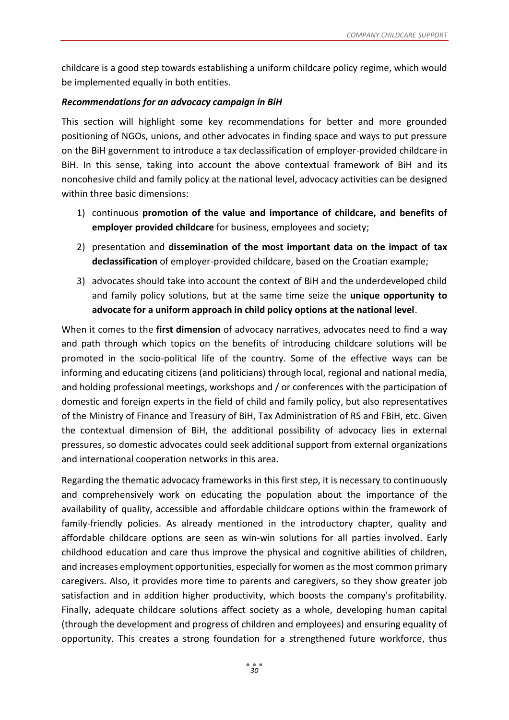childcare is a good step towards establishing a uniform childcare policy regime, which would be implemented equally in both entities.

#### *Recommendations for an advocacy campaign in BiH*

This section will highlight some key recommendations for better and more grounded positioning of NGOs, unions, and other advocates in finding space and ways to put pressure on the BiH government to introduce a tax declassification of employer-provided childcare in BiH. In this sense, taking into account the above contextual framework of BiH and its noncohesive child and family policy at the national level, advocacy activities can be designed within three basic dimensions:

- 1) continuous **promotion of the value and importance of childcare, and benefits of employer provided childcare** for business, employees and society;
- 2) presentation and **dissemination of the most important data on the impact of tax declassification** of employer-provided childcare, based on the Croatian example;
- 3) advocates should take into account the context of BiH and the underdeveloped child and family policy solutions, but at the same time seize the **unique opportunity to advocate for a uniform approach in child policy options at the national level**.

When it comes to the **first dimension** of advocacy narratives, advocates need to find a way and path through which topics on the benefits of introducing childcare solutions will be promoted in the socio-political life of the country. Some of the effective ways can be informing and educating citizens (and politicians) through local, regional and national media, and holding professional meetings, workshops and / or conferences with the participation of domestic and foreign experts in the field of child and family policy, but also representatives of the Ministry of Finance and Treasury of BiH, Tax Administration of RS and FBiH, etc. Given the contextual dimension of BiH, the additional possibility of advocacy lies in external pressures, so domestic advocates could seek additional support from external organizations and international cooperation networks in this area.

Regarding the thematic advocacy frameworks in this first step, it is necessary to continuously and comprehensively work on educating the population about the importance of the availability of quality, accessible and affordable childcare options within the framework of family-friendly policies. As already mentioned in the introductory chapter, quality and affordable childcare options are seen as win-win solutions for all parties involved. Early childhood education and care thus improve the physical and cognitive abilities of children, and increases employment opportunities, especially for women as the most common primary caregivers. Also, it provides more time to parents and caregivers, so they show greater job satisfaction and in addition higher productivity, which boosts the company's profitability. Finally, adequate childcare solutions affect society as a whole, developing human capital (through the development and progress of children and employees) and ensuring equality of opportunity. This creates a strong foundation for a strengthened future workforce, thus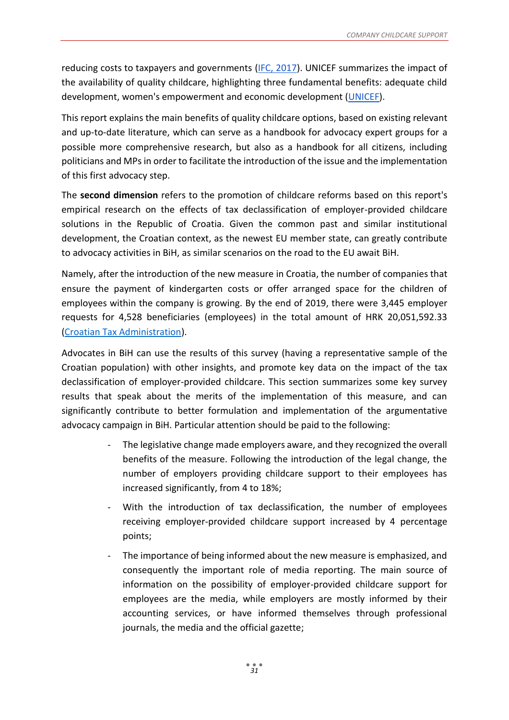reducing costs to taxpayers and governments [\(IFC, 2017\)](https://www.ifc.org/wps/wcm/connect/cd79e230-3ee2-46ae-adc5-e54d3d649f31/01817+WB+Childcare+Report_FinalWeb3.pdf?MOD=AJPERES&CVID=lXu9vP-). UNICEF summarizes the impact of the availability of quality childcare, highlighting three fundamental benefits: adequate child development, women's empowerment and economic development [\(UNICEF\)](https://www.unicef.org/sites/default/files/2019-07/UNICEF-Childcare%20-Family-Friendly-Policies-2019.pdf).

This report explains the main benefits of quality childcare options, based on existing relevant and up-to-date literature, which can serve as a handbook for advocacy expert groups for a possible more comprehensive research, but also as a handbook for all citizens, including politicians and MPs in order to facilitate the introduction of the issue and the implementation of this first advocacy step.

The **second dimension** refers to the promotion of childcare reforms based on this report's empirical research on the effects of tax declassification of employer-provided childcare solutions in the Republic of Croatia. Given the common past and similar institutional development, the Croatian context, as the newest EU member state, can greatly contribute to advocacy activities in BiH, as similar scenarios on the road to the EU await BiH.

Namely, after the introduction of the new measure in Croatia, the number of companies that ensure the payment of kindergarten costs or offer arranged space for the children of employees within the company is growing. By the end of 2019, there were 3,445 employer requests for 4,528 beneficiaries (employees) in the total amount of HRK 20,051,592.33 [\(Croatian Tax Administration\)](https://www.porezna-uprava.hr/Dokumenti%20vijesti/Porezna%20reforma%204.%20krug%2031%2010%202019.pdf).

Advocates in BiH can use the results of this survey (having a representative sample of the Croatian population) with other insights, and promote key data on the impact of the tax declassification of employer-provided childcare. This section summarizes some key survey results that speak about the merits of the implementation of this measure, and can significantly contribute to better formulation and implementation of the argumentative advocacy campaign in BiH. Particular attention should be paid to the following:

- The legislative change made employers aware, and they recognized the overall benefits of the measure. Following the introduction of the legal change, the number of employers providing childcare support to their employees has increased significantly, from 4 to 18%;
- With the introduction of tax declassification, the number of employees receiving employer-provided childcare support increased by 4 percentage points;
- The importance of being informed about the new measure is emphasized, and consequently the important role of media reporting. The main source of information on the possibility of employer-provided childcare support for employees are the media, while employers are mostly informed by their accounting services, or have informed themselves through professional journals, the media and the official gazette;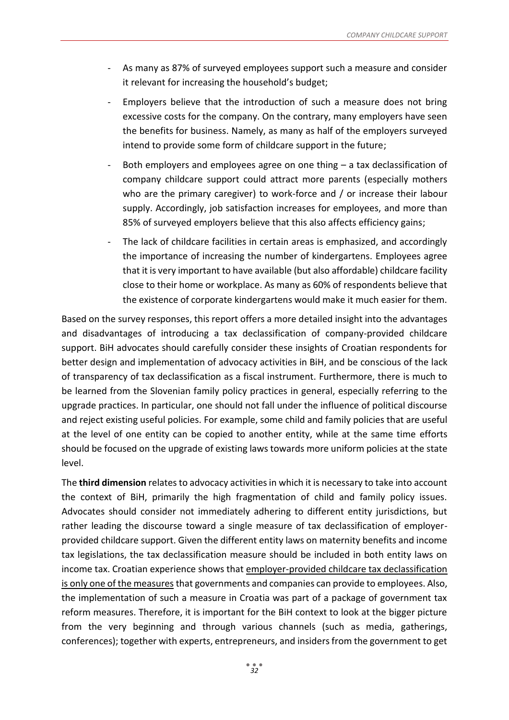- As many as 87% of surveyed employees support such a measure and consider it relevant for increasing the household's budget;
- Employers believe that the introduction of such a measure does not bring excessive costs for the company. On the contrary, many employers have seen the benefits for business. Namely, as many as half of the employers surveyed intend to provide some form of childcare support in the future;
- Both employers and employees agree on one thing  $-$  a tax declassification of company childcare support could attract more parents (especially mothers who are the primary caregiver) to work-force and / or increase their labour supply. Accordingly, job satisfaction increases for employees, and more than 85% of surveyed employers believe that this also affects efficiency gains;
- The lack of childcare facilities in certain areas is emphasized, and accordingly the importance of increasing the number of kindergartens. Employees agree that it is very important to have available (but also affordable) childcare facility close to their home or workplace. As many as 60% of respondents believe that the existence of corporate kindergartens would make it much easier for them.

Based on the survey responses, this report offers a more detailed insight into the advantages and disadvantages of introducing a tax declassification of company-provided childcare support. BiH advocates should carefully consider these insights of Croatian respondents for better design and implementation of advocacy activities in BiH, and be conscious of the lack of transparency of tax declassification as a fiscal instrument. Furthermore, there is much to be learned from the Slovenian family policy practices in general, especially referring to the upgrade practices. In particular, one should not fall under the influence of political discourse and reject existing useful policies. For example, some child and family policies that are useful at the level of one entity can be copied to another entity, while at the same time efforts should be focused on the upgrade of existing laws towards more uniform policies at the state level.

The **third dimension** relates to advocacy activities in which it is necessary to take into account the context of BiH, primarily the high fragmentation of child and family policy issues. Advocates should consider not immediately adhering to different entity jurisdictions, but rather leading the discourse toward a single measure of tax declassification of employerprovided childcare support. Given the different entity laws on maternity benefits and income tax legislations, the tax declassification measure should be included in both entity laws on income tax. Croatian experience shows that employer-provided childcare tax declassification is only one of the measures that governments and companies can provide to employees. Also, the implementation of such a measure in Croatia was part of a package of government tax reform measures. Therefore, it is important for the BiH context to look at the bigger picture from the very beginning and through various channels (such as media, gatherings, conferences); together with experts, entrepreneurs, and insiders from the government to get